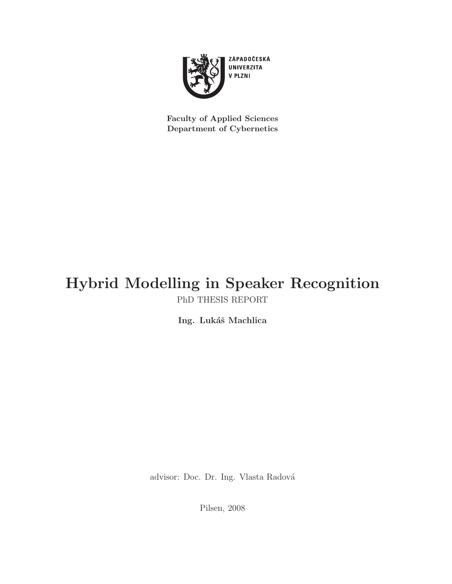

Faculty of Applied Sciences Department of Cybernetics

### Hybrid Modelling in Speaker Recognition PhD THESIS REPORT

Ing. Lukáš Machlica

advisor: Doc. Dr. Ing. Vlasta Radová

Pilsen, 2008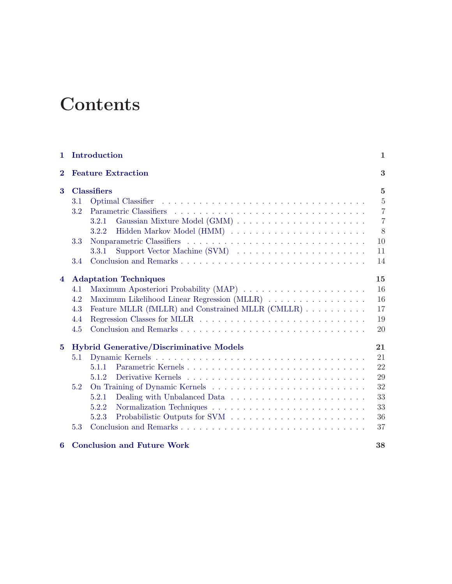# **Contents**

| $\mathbf{1}$                          |                                                      | Introduction<br>1                                 |                |  |  |  |
|---------------------------------------|------------------------------------------------------|---------------------------------------------------|----------------|--|--|--|
| <b>Feature Extraction</b><br>$\bf{2}$ |                                                      |                                                   |                |  |  |  |
| 3                                     | <b>Classifiers</b>                                   |                                                   |                |  |  |  |
|                                       | 3.1                                                  |                                                   | $\overline{5}$ |  |  |  |
|                                       | $3.2\,$                                              |                                                   | $\overline{7}$ |  |  |  |
|                                       |                                                      | 3.2.1                                             | $\overline{7}$ |  |  |  |
|                                       |                                                      | 3.2.2                                             | 8              |  |  |  |
|                                       | 3.3                                                  |                                                   | 10             |  |  |  |
|                                       |                                                      | 3.3.1                                             | 11             |  |  |  |
|                                       | 3.4                                                  |                                                   | 14             |  |  |  |
| $\overline{4}$                        | 15<br><b>Adaptation Techniques</b>                   |                                                   |                |  |  |  |
|                                       | 4.1                                                  |                                                   | 16             |  |  |  |
|                                       | 4.2                                                  | Maximum Likelihood Linear Regression (MLLR)       | 16             |  |  |  |
|                                       | 4.3                                                  | Feature MLLR (fMLLR) and Constrained MLLR (CMLLR) | 17             |  |  |  |
|                                       | 4.4                                                  |                                                   | 19             |  |  |  |
|                                       | 4.5                                                  |                                                   | 20             |  |  |  |
| $\overline{5}$                        | <b>Hybrid Generative/Discriminative Models</b><br>21 |                                                   |                |  |  |  |
|                                       | 5.1                                                  |                                                   | 21             |  |  |  |
|                                       |                                                      | Parametric Kernels<br>5.1.1                       | 22             |  |  |  |
|                                       |                                                      | 5.1.2                                             | 29             |  |  |  |
|                                       | 5.2                                                  |                                                   | 32             |  |  |  |
|                                       |                                                      | 5.2.1                                             | 33             |  |  |  |
|                                       |                                                      | 5.2.2                                             | 33             |  |  |  |
|                                       |                                                      | 5.2.3                                             | 36             |  |  |  |
|                                       | 5.3                                                  |                                                   | 37             |  |  |  |
| 6                                     |                                                      | <b>Conclusion and Future Work</b>                 | 38             |  |  |  |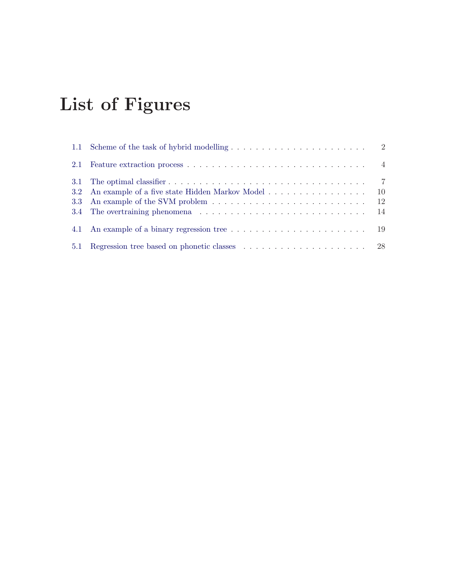# List of Figures

| 2.1 |                                                                                    |               |
|-----|------------------------------------------------------------------------------------|---------------|
|     |                                                                                    |               |
|     |                                                                                    | 10            |
|     |                                                                                    | <sup>12</sup> |
|     |                                                                                    |               |
|     |                                                                                    |               |
| 5.1 | Regression tree based on phonetic classes (and all our contract on the set of $28$ |               |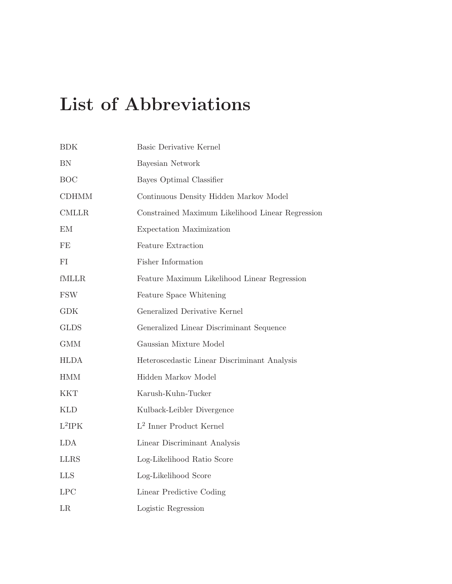# List of Abbreviations

| BDK          | Basic Derivative Kernel                          |
|--------------|--------------------------------------------------|
| ${\rm BN}$   | Bayesian Network                                 |
| <b>BOC</b>   | Bayes Optimal Classifier                         |
| <b>CDHMM</b> | Continuous Density Hidden Markov Model           |
| <b>CMLLR</b> | Constrained Maximum Likelihood Linear Regression |
| EM           | Expectation Maximization                         |
| FE           | Feature Extraction                               |
| FI           | Fisher Information                               |
| fMLLR        | Feature Maximum Likelihood Linear Regression     |
| <b>FSW</b>   | Feature Space Whitening                          |
| <b>GDK</b>   | Generalized Derivative Kernel                    |
| <b>GLDS</b>  | Generalized Linear Discriminant Sequence         |
| <b>GMM</b>   | Gaussian Mixture Model                           |
| <b>HLDA</b>  | Heteroscedastic Linear Discriminant Analysis     |
| <b>HMM</b>   | Hidden Markov Model                              |
| <b>KKT</b>   | Karush-Kuhn-Tucker                               |
| <b>KLD</b>   | Kulback-Leibler Divergence                       |
| $L^2IPK$     | $\mathbf{L}^2$ Inner Product Kernel              |
| <b>LDA</b>   | Linear Discriminant Analysis                     |
| <b>LLRS</b>  | Log-Likelihood Ratio Score                       |
| <b>LLS</b>   | Log-Likelihood Score                             |
| LPC          | Linear Predictive Coding                         |
| LR           | Logistic Regression                              |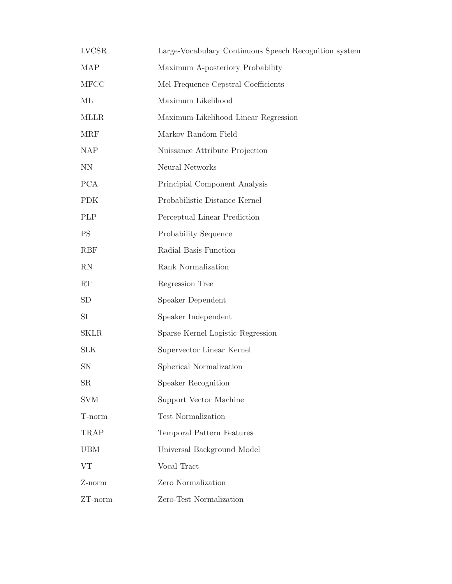| <b>LVCSR</b>                | Large-Vocabulary Continuous Speech Recognition system |
|-----------------------------|-------------------------------------------------------|
| <b>MAP</b>                  | Maximum A-posteriory Probability                      |
| <b>MFCC</b>                 | Mel Frequence Cepstral Coefficients                   |
| МL                          | Maximum Likelihood                                    |
| <b>MLLR</b>                 | Maximum Likelihood Linear Regression                  |
| <b>MRF</b>                  | Markov Random Field                                   |
| $\ensuremath{\mathsf{NAP}}$ | Nuissance Attribute Projection                        |
| <b>NN</b>                   | Neural Networks                                       |
| <b>PCA</b>                  | Principial Component Analysis                         |
| <b>PDK</b>                  | Probabilistic Distance Kernel                         |
| PLP                         | Perceptual Linear Prediction                          |
| <b>PS</b>                   | Probability Sequence                                  |
| <b>RBF</b>                  | Radial Basis Function                                 |
| RN                          | Rank Normalization                                    |
| RT                          | Regression Tree                                       |
| SD                          | Speaker Dependent                                     |
| SI                          | Speaker Independent                                   |
| <b>SKLR</b>                 | Sparse Kernel Logistic Regression                     |
| <b>SLK</b>                  | Supervector Linear Kernel                             |
| SN                          | Spherical Normalization                               |
| SR                          | Speaker Recognition                                   |
| <b>SVM</b>                  | Support Vector Machine                                |
| T-norm                      | <b>Test Normalization</b>                             |
| TRAP                        | Temporal Pattern Features                             |
| <b>UBM</b>                  | Universal Background Model                            |
| <b>VT</b>                   | Vocal Tract                                           |
| Z-norm                      | Zero Normalization                                    |
| ZT-norm                     | Zero-Test Normalization                               |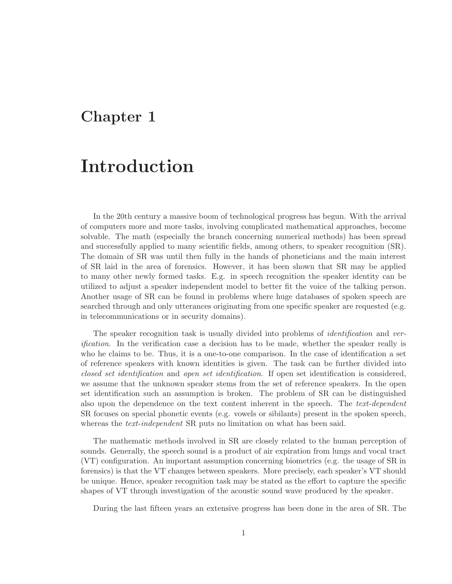### <span id="page-6-0"></span>Chapter 1

# Introduction

In the 20th century a massive boom of technological progress has begun. With the arrival of computers more and more tasks, involving complicated mathematical approaches, become solvable. The math (especially the branch concerning numerical methods) has been spread and successfully applied to many scientific fields, among others, to speaker recognition (SR). The domain of SR was until then fully in the hands of phoneticians and the main interest of SR laid in the area of forensics. However, it has been shown that SR may be applied to many other newly formed tasks. E.g. in speech recognition the speaker identity can be utilized to adjust a speaker independent model to better fit the voice of the talking person. Another usage of SR can be found in problems where huge databases of spoken speech are searched through and only utterances originating from one specific speaker are requested (e.g. in telecommunications or in security domains).

The speaker recognition task is usually divided into problems of *identification* and ver*ification*. In the verification case a decision has to be made, whether the speaker really is who he claims to be. Thus, it is a one-to-one comparison. In the case of identification a set of reference speakers with known identities is given. The task can be further divided into closed set identification and open set identification. If open set identification is considered, we assume that the unknown speaker stems from the set of reference speakers. In the open set identification such an assumption is broken. The problem of SR can be distinguished also upon the dependence on the text content inherent in the speech. The text-dependent SR focuses on special phonetic events (e.g. vowels or sibilants) present in the spoken speech, whereas the *text-independent* SR puts no limitation on what has been said.

The mathematic methods involved in SR are closely related to the human perception of sounds. Generally, the speech sound is a product of air expiration from lungs and vocal tract (VT) configuration. An important assumption concerning biometrics (e.g. the usage of SR in forensics) is that the VT changes between speakers. More precisely, each speaker's VT should be unique. Hence, speaker recognition task may be stated as the effort to capture the specific shapes of VT through investigation of the acoustic sound wave produced by the speaker.

During the last fifteen years an extensive progress has been done in the area of SR. The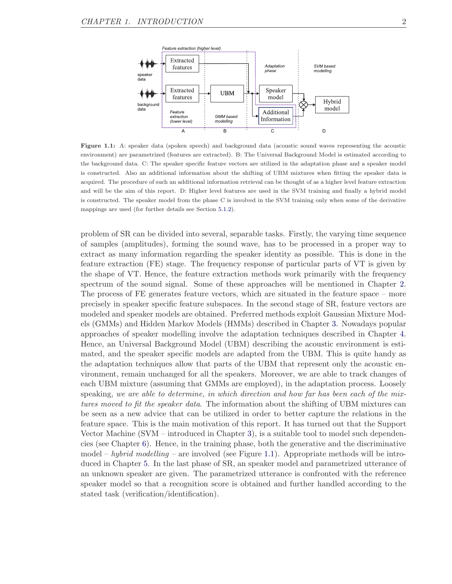<span id="page-7-0"></span>

Figure 1.1: A: speaker data (spoken speech) and background data (acoustic sound waves representing the acoustic environment) are parametrized (features are extracted). B: The Universal Background Model is estimated according to the background data. C: The speaker specific feature vectors are utilized in the adaptation phase and a speaker model is constructed. Also an additional information about the shifting of UBM mixtures when fitting the speaker data is acquired. The procedure of such an additional information retrieval can be thought of as a higher level feature extraction and will be the aim of this report. D: Higher level features are used in the SVM training and finally a hybrid model is constructed. The speaker model from the phase C is involved in the SVM training only when some of the derivative mappings are used (for further details see Section [5.1.2\)](#page-34-0).

problem of SR can be divided into several, separable tasks. Firstly, the varying time sequence of samples (amplitudes), forming the sound wave, has to be processed in a proper way to extract as many information regarding the speaker identity as possible. This is done in the feature extraction (FE) stage. The frequency response of particular parts of VT is given by the shape of VT. Hence, the feature extraction methods work primarily with the frequency spectrum of the sound signal. Some of these approaches will be mentioned in Chapter [2.](#page-8-0) The process of FE generates feature vectors, which are situated in the feature space – more precisely in speaker specific feature subspaces. In the second stage of SR, feature vectors are modeled and speaker models are obtained. Preferred methods exploit Gaussian Mixture Models (GMMs) and Hidden Markov Models (HMMs) described in Chapter [3.](#page-10-0) Nowadays popular approaches of speaker modelling involve the adaptation techniques described in Chapter [4.](#page-20-0) Hence, an Universal Background Model (UBM) describing the acoustic environment is estimated, and the speaker specific models are adapted from the UBM. This is quite handy as the adaptation techniques allow that parts of the UBM that represent only the acoustic environment, remain unchanged for all the speakers. Moreover, we are able to track changes of each UBM mixture (assuming that GMMs are employed), in the adaptation process. Loosely speaking, we are able to determine, in which direction and how far has been each of the mixtures moved to fit the speaker data. The information about the shifting of UBM mixtures can be seen as a new advice that can be utilized in order to better capture the relations in the feature space. This is the main motivation of this report. It has turned out that the Support Vector Machine (SVM – introduced in Chapter [3\)](#page-10-0), is a suitable tool to model such dependencies (see Chapter [6\)](#page-43-0). Hence, in the training phase, both the generative and the discriminative model – hybrid modelling – are involved (see Figure [1.1\)](#page-7-0). Appropriate methods will be introduced in Chapter [5.](#page-26-0) In the last phase of SR, an speaker model and parametrized utterance of an unknown speaker are given. The parametrized utterance is confronted with the reference speaker model so that a recognition score is obtained and further handled according to the stated task (verification/identification).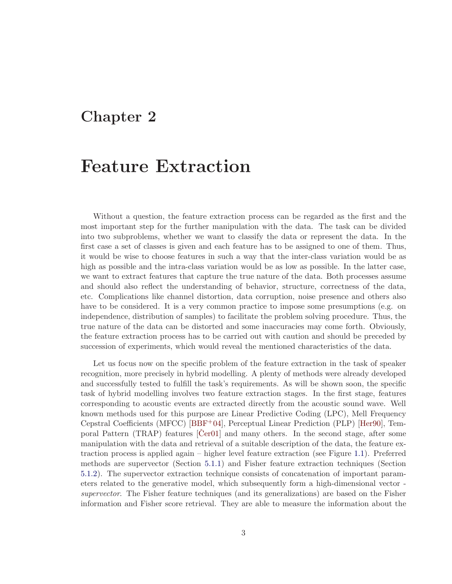### <span id="page-8-0"></span>Chapter 2

## Feature Extraction

Without a question, the feature extraction process can be regarded as the first and the most important step for the further manipulation with the data. The task can be divided into two subproblems, whether we want to classify the data or represent the data. In the first case a set of classes is given and each feature has to be assigned to one of them. Thus, it would be wise to choose features in such a way that the inter-class variation would be as high as possible and the intra-class variation would be as low as possible. In the latter case, we want to extract features that capture the true nature of the data. Both processes assume and should also reflect the understanding of behavior, structure, correctness of the data, etc. Complications like channel distortion, data corruption, noise presence and others also have to be considered. It is a very common practice to impose some presumptions (e.g. on independence, distribution of samples) to facilitate the problem solving procedure. Thus, the true nature of the data can be distorted and some inaccuracies may come forth. Obviously, the feature extraction process has to be carried out with caution and should be preceded by succession of experiments, which would reveal the mentioned characteristics of the data.

Let us focus now on the specific problem of the feature extraction in the task of speaker recognition, more precisely in hybrid modelling. A plenty of methods were already developed and successfully tested to fulfill the task's requirements. As will be shown soon, the specific task of hybrid modelling involves two feature extraction stages. In the first stage, features corresponding to acoustic events are extracted directly from the acoustic sound wave. Well known methods used for this purpose are Linear Predictive Coding (LPC), Mell Frequency Cepstral Coefficients (MFCC) [\[BBF](#page-45-0)+04], Perceptual Linear Prediction (PLP) [\[Her90\]](#page-46-0), Temporal Pattern (TRAP) features  $[Cer01]$  and many others. In the second stage, after some manipulation with the data and retrieval of a suitable description of the data, the feature extraction process is applied again – higher level feature extraction (see Figure [1.1\)](#page-7-0). Preferred methods are supervector (Section [5.1.1\)](#page-27-0) and Fisher feature extraction techniques (Section [5.1.2\)](#page-34-0). The supervector extraction technique consists of concatenation of important parameters related to the generative model, which subsequently form a high-dimensional vector supervector. The Fisher feature techniques (and its generalizations) are based on the Fisher information and Fisher score retrieval. They are able to measure the information about the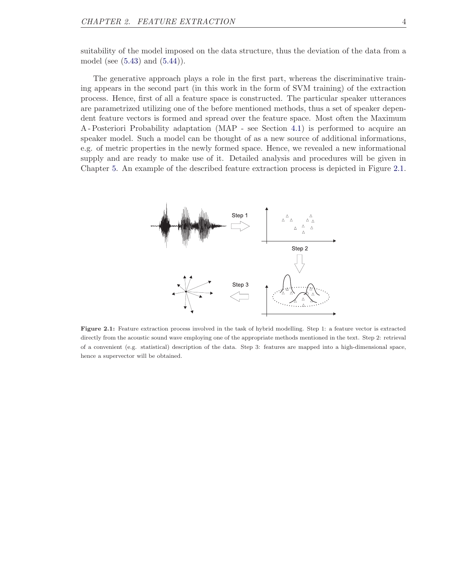suitability of the model imposed on the data structure, thus the deviation of the data from a model (see [\(5.43\)](#page-36-0) and [\(5.44\)](#page-36-1)).

The generative approach plays a role in the first part, whereas the discriminative training appears in the second part (in this work in the form of SVM training) of the extraction process. Hence, first of all a feature space is constructed. The particular speaker utterances are parametrized utilizing one of the before mentioned methods, thus a set of speaker dependent feature vectors is formed and spread over the feature space. Most often the Maximum A - Posteriori Probability adaptation (MAP - see Section [4.1\)](#page-21-0) is performed to acquire an speaker model. Such a model can be thought of as a new source of additional informations, e.g. of metric properties in the newly formed space. Hence, we revealed a new informational supply and are ready to make use of it. Detailed analysis and procedures will be given in Chapter [5.](#page-26-0) An example of the described feature extraction process is depicted in Figure [2.1.](#page-9-0)

<span id="page-9-0"></span>

Figure 2.1: Feature extraction process involved in the task of hybrid modelling. Step 1: a feature vector is extracted directly from the acoustic sound wave employing one of the appropriate methods mentioned in the text. Step 2: retrieval of a convenient (e.g. statistical) description of the data. Step 3: features are mapped into a high-dimensional space, hence a supervector will be obtained.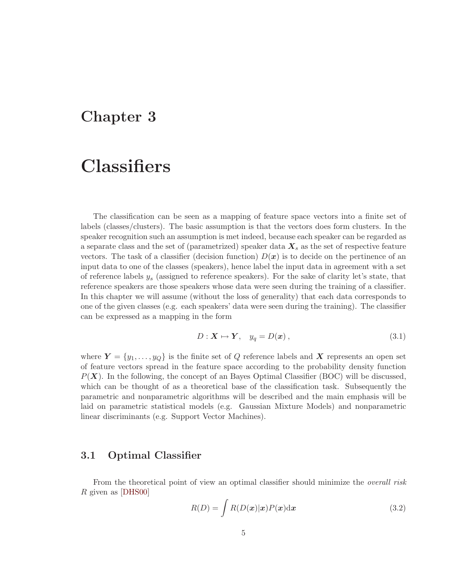### <span id="page-10-0"></span>Chapter 3

# **Classifiers**

The classification can be seen as a mapping of feature space vectors into a finite set of labels (classes/clusters). The basic assumption is that the vectors does form clusters. In the speaker recognition such an assumption is met indeed, because each speaker can be regarded as a separate class and the set of (parametrized) speaker data  $X_s$  as the set of respective feature vectors. The task of a classifier (decision function)  $D(x)$  is to decide on the pertinence of an input data to one of the classes (speakers), hence label the input data in agreement with a set of reference labels  $y_s$  (assigned to reference speakers). For the sake of clarity let's state, that reference speakers are those speakers whose data were seen during the training of a classifier. In this chapter we will assume (without the loss of generality) that each data corresponds to one of the given classes (e.g. each speakers' data were seen during the training). The classifier can be expressed as a mapping in the form

$$
D: \mathbf{X} \mapsto \mathbf{Y}, \quad y_q = D(\mathbf{x}), \tag{3.1}
$$

where  $Y = \{y_1, \ldots, y_Q\}$  is the finite set of Q reference labels and X represents an open set of feature vectors spread in the feature space according to the probability density function  $P(X)$ . In the following, the concept of an Bayes Optimal Classifier (BOC) will be discussed, which can be thought of as a theoretical base of the classification task. Subsequently the parametric and nonparametric algorithms will be described and the main emphasis will be laid on parametric statistical models (e.g. Gaussian Mixture Models) and nonparametric linear discriminants (e.g. Support Vector Machines).

### <span id="page-10-1"></span>3.1 Optimal Classifier

From the theoretical point of view an optimal classifier should minimize the *overall risk* R given as [\[DHS00\]](#page-46-2)

$$
R(D) = \int R(D(\boldsymbol{x})|\boldsymbol{x})P(\boldsymbol{x})\mathrm{d}\boldsymbol{x}
$$
\n(3.2)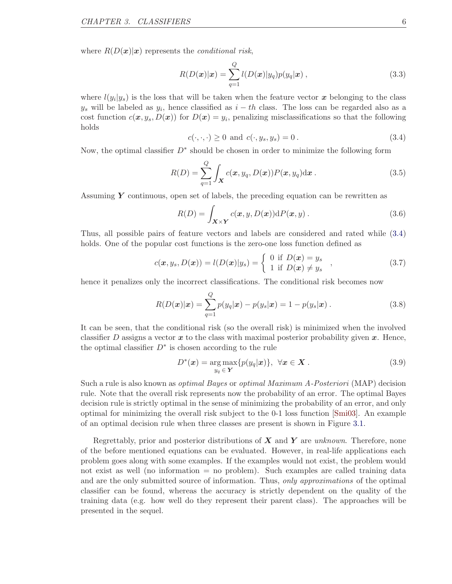where  $R(D(x)|x)$  represents the *conditional risk*,

<span id="page-11-2"></span>
$$
R(D(\boldsymbol{x})|\boldsymbol{x}) = \sum_{q=1}^{Q} l(D(\boldsymbol{x})|y_q)p(y_q|\boldsymbol{x}), \qquad (3.3)
$$

where  $l(y_i|y_s)$  is the loss that will be taken when the feature vector x belonging to the class  $y_s$  will be labeled as  $y_i$ , hence classified as  $i - th$  class. The loss can be regarded also as a cost function  $c(\mathbf{x},y_s,D(\mathbf{x}))$  for  $D(\mathbf{x})=y_i$ , penalizing misclassifications so that the following holds

<span id="page-11-0"></span>
$$
c(\cdot, \cdot, \cdot) \ge 0 \text{ and } c(\cdot, y_s, y_s) = 0. \tag{3.4}
$$

Now, the optimal classifier  $D^*$  should be chosen in order to minimize the following form

$$
R(D) = \sum_{q=1}^{Q} \int_{\mathbf{X}} c(\mathbf{x}, y_q, D(\mathbf{x})) P(\mathbf{x}, y_q) \mathrm{d}\mathbf{x} . \tag{3.5}
$$

Assuming  $\boldsymbol{Y}$  continuous, open set of labels, the preceding equation can be rewritten as

$$
R(D) = \int_{\mathbf{X} \times \mathbf{Y}} c(\mathbf{x}, y, D(\mathbf{x})) \mathrm{d}P(\mathbf{x}, y) . \tag{3.6}
$$

Thus, all possible pairs of feature vectors and labels are considered and rated while [\(3.4\)](#page-11-0) holds. One of the popular cost functions is the zero-one loss function defined as

$$
c(\boldsymbol{x}, y_s, D(\boldsymbol{x})) = l(D(\boldsymbol{x})|y_s) = \begin{cases} 0 & \text{if } D(\boldsymbol{x}) = y_s \\ 1 & \text{if } D(\boldsymbol{x}) \neq y_s \end{cases}, \tag{3.7}
$$

hence it penalizes only the incorrect classifications. The conditional risk becomes now

$$
R(D(\boldsymbol{x})|\boldsymbol{x}) = \sum_{q=1}^{Q} p(y_q|\boldsymbol{x}) - p(y_s|\boldsymbol{x}) = 1 - p(y_s|\boldsymbol{x}). \qquad (3.8)
$$

It can be seen, that the conditional risk (so the overall risk) is minimized when the involved classifier D assigns a vector  $x$  to the class with maximal posterior probability given  $x$ . Hence, the optimal classifier  $D^*$  is chosen according to the rule

<span id="page-11-1"></span>
$$
D^*(\boldsymbol{x}) = \underset{y_q \in \boldsymbol{Y}}{\arg \max} \{ p(y_q | \boldsymbol{x}) \}, \ \ \forall \boldsymbol{x} \in \boldsymbol{X} \ . \tag{3.9}
$$

Such a rule is also known as optimal Bayes or optimal Maximum A-Posteriori (MAP) decision rule. Note that the overall risk represents now the probability of an error. The optimal Bayes decision rule is strictly optimal in the sense of minimizing the probability of an error, and only optimal for minimizing the overall risk subject to the 0-1 loss function [\[Smi03\]](#page-48-0). An example of an optimal decision rule when three classes are present is shown in Figure [3.1.](#page-12-2)

Regrettably, prior and posterior distributions of  $X$  and  $Y$  are unknown. Therefore, none of the before mentioned equations can be evaluated. However, in real-life applications each problem goes along with some examples. If the examples would not exist, the problem would not exist as well (no information = no problem). Such examples are called training data and are the only submitted source of information. Thus, only approximations of the optimal classifier can be found, whereas the accuracy is strictly dependent on the quality of the training data (e.g. how well do they represent their parent class). The approaches will be presented in the sequel.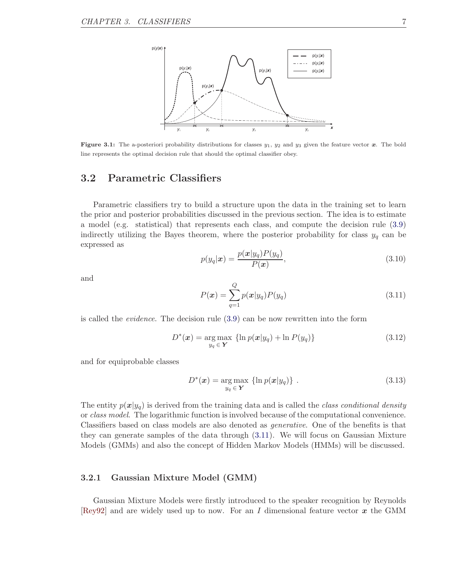<span id="page-12-2"></span>

Figure 3.1: The a-posteriori probability distributions for classes  $y_1$ ,  $y_2$  and  $y_3$  given the feature vector  $\boldsymbol{x}$ . The bold line represents the optimal decision rule that should the optimal classifier obey.

### <span id="page-12-0"></span>3.2 Parametric Classifiers

Parametric classifiers try to build a structure upon the data in the training set to learn the prior and posterior probabilities discussed in the previous section. The idea is to estimate a model (e.g. statistical) that represents each class, and compute the decision rule [\(3.9\)](#page-11-1) indirectly utilizing the Bayes theorem, where the posterior probability for class  $y_q$  can be expressed as

$$
p(y_q|\boldsymbol{x}) = \frac{p(\boldsymbol{x}|y_q)P(y_q)}{P(\boldsymbol{x})},
$$
\n(3.10)

and

<span id="page-12-3"></span>
$$
P(\mathbf{x}) = \sum_{q=1}^{Q} p(\mathbf{x}|y_q) P(y_q)
$$
\n(3.11)

is called the evidence. The decision rule [\(3.9\)](#page-11-1) can be now rewritten into the form

<span id="page-12-4"></span>
$$
D^*(\boldsymbol{x}) = \underset{y_q \in \mathbf{Y}}{\arg \max} \left\{ \ln p(\boldsymbol{x}|y_q) + \ln P(y_q) \right\} \tag{3.12}
$$

and for equiprobable classes

<span id="page-12-5"></span>
$$
D^*(\boldsymbol{x}) = \underset{y_q \in \mathbf{Y}}{\arg \max} \left\{ \ln p(\boldsymbol{x}|y_q) \right\} \,.
$$
 (3.13)

The entity  $p(x|y_q)$  is derived from the training data and is called the class conditional density or class model. The logarithmic function is involved because of the computational convenience. Classifiers based on class models are also denoted as generative. One of the benefits is that they can generate samples of the data through [\(3.11\)](#page-12-3). We will focus on Gaussian Mixture Models (GMMs) and also the concept of Hidden Markov Models (HMMs) will be discussed.

#### <span id="page-12-1"></span>3.2.1 Gaussian Mixture Model (GMM)

Gaussian Mixture Models were firstly introduced to the speaker recognition by Reynolds [\[Rey92\]](#page-48-1) and are widely used up to now. For an I dimensional feature vector  $x$  the GMM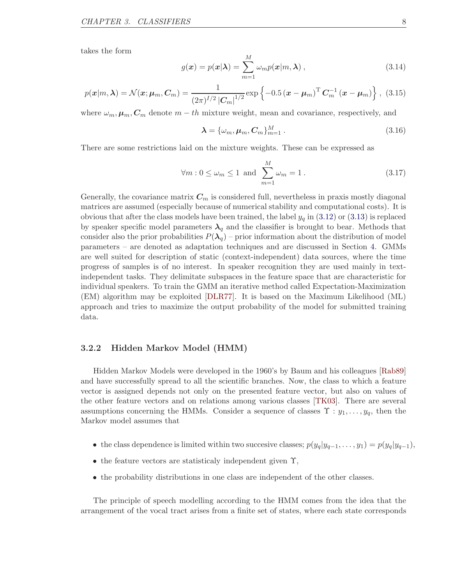takes the form

<span id="page-13-2"></span>
$$
g(\boldsymbol{x}) = p(\boldsymbol{x}|\boldsymbol{\lambda}) = \sum_{m=1}^{M} \omega_m p(\boldsymbol{x}|m, \boldsymbol{\lambda}), \qquad (3.14)
$$

$$
p(\boldsymbol{x}|m,\boldsymbol{\lambda}) = \mathcal{N}(\boldsymbol{x};\boldsymbol{\mu}_m,\boldsymbol{C}_m) = \frac{1}{(2\pi)^{I/2}|\boldsymbol{C}_m|^{1/2}} \exp\left\{-0.5(\boldsymbol{x}-\boldsymbol{\mu}_m)^{\mathrm{T}}\boldsymbol{C}_m^{-1}(\boldsymbol{x}-\boldsymbol{\mu}_m)\right\},\tag{3.15}
$$

where  $\omega_m$ ,  $\mu_m$ ,  $C_m$  denote  $m-th$  mixture weight, mean and covariance, respectively, and

<span id="page-13-1"></span>
$$
\lambda = {\omega_m, \mu_m, C_m}_{m=1}^M.
$$
\n(3.16)

There are some restrictions laid on the mixture weights. These can be expressed as

$$
\forall m: 0 \le \omega_m \le 1 \text{ and } \sum_{m=1}^{M} \omega_m = 1. \tag{3.17}
$$

Generally, the covariance matrix  $C_m$  is considered full, nevertheless in praxis mostly diagonal matrices are assumed (especially because of numerical stability and computational costs). It is obvious that after the class models have been trained, the label  $y_q$  in [\(3.12\)](#page-12-4) or [\(3.13\)](#page-12-5) is replaced by speaker specific model parameters  $\lambda_q$  and the classifier is brought to bear. Methods that consider also the prior probabilities  $P(\lambda_q)$  – prior information about the distribution of model parameters – are denoted as adaptation techniques and are discussed in Section [4.](#page-20-0) GMMs are well suited for description of static (context-independent) data sources, where the time progress of samples is of no interest. In speaker recognition they are used mainly in textindependent tasks. They delimitate subspaces in the feature space that are characteristic for individual speakers. To train the GMM an iterative method called Expectation-Maximization (EM) algorithm may be exploited [\[DLR77\]](#page-46-3). It is based on the Maximum Likelihood (ML) approach and tries to maximize the output probability of the model for submitted training data.

### <span id="page-13-0"></span>3.2.2 Hidden Markov Model (HMM)

Hidden Markov Models were developed in the 1960's by Baum and his colleagues [\[Rab89\]](#page-48-2) and have successfully spread to all the scientific branches. Now, the class to which a feature vector is assigned depends not only on the presented feature vector, but also on values of the other feature vectors and on relations among various classes [\[TK03\]](#page-49-0). There are several assumptions concerning the HMMs. Consider a sequence of classes  $\Upsilon : y_1, \ldots, y_q$ , then the Markov model assumes that

- the class dependence is limited within two succesive classes;  $p(y_q|y_{q-1},..., y_1) = p(y_q|y_{q-1}),$
- the feature vectors are statisticaly independent given  $\Upsilon$ ,
- the probability distributions in one class are independent of the other classes.

The principle of speech modelling according to the HMM comes from the idea that the arrangement of the vocal tract arises from a finite set of states, where each state corresponds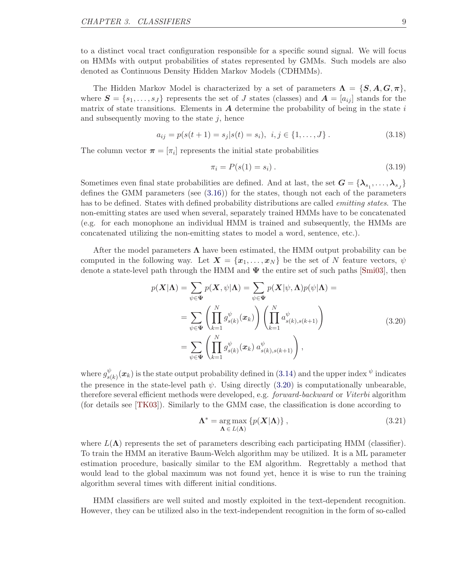to a distinct vocal tract configuration responsible for a specific sound signal. We will focus on HMMs with output probabilities of states represented by GMMs. Such models are also denoted as Continuous Density Hidden Markov Models (CDHMMs).

The Hidden Markov Model is characterized by a set of parameters  $\Lambda = \{S, A, G, \pi\},\$ where  $S = \{s_1, \ldots, s_J\}$  represents the set of J states (classes) and  $A = [a_{ij}]$  stands for the matrix of state transitions. Elements in  $A$  determine the probability of being in the state  $i$ and subsequently moving to the state  $i$ , hence

$$
a_{ij} = p(s(t+1) = s_j | s(t) = s_i), \ i, j \in \{1, ..., J\}.
$$
 (3.18)

The column vector  $\boldsymbol{\pi} = [\pi_i]$  represents the initial state probabilities

$$
\pi_i = P(s(1) = s_i). \tag{3.19}
$$

Sometimes even final state probabilities are defined. And at last, the set  $G = \{\lambda_{s_1}, \dots, \lambda_{s_J}\}$ defines the GMM parameters (see [\(3.16\)](#page-13-1)) for the states, though not each of the parameters has to be defined. States with defined probability distributions are called emitting states. The non-emitting states are used when several, separately trained HMMs have to be concatenated (e.g. for each monophone an individual HMM is trained and subsequently, the HMMs are concatenated utilizing the non-emitting states to model a word, sentence, etc.).

After the model parameters  $\Lambda$  have been estimated, the HMM output probability can be computed in the following way. Let  $\mathbf{X} = \{x_1, \ldots, x_N\}$  be the set of N feature vectors,  $\psi$ denote a state-level path through the HMM and  $\Psi$  the entire set of such paths [\[Smi03\]](#page-48-0), then

<span id="page-14-0"></span>
$$
p(\mathbf{X}|\mathbf{\Lambda}) = \sum_{\psi \in \mathbf{\Psi}} p(\mathbf{X}, \psi | \mathbf{\Lambda}) = \sum_{\psi \in \mathbf{\Psi}} p(\mathbf{X} | \psi, \mathbf{\Lambda}) p(\psi | \mathbf{\Lambda}) =
$$
  
\n
$$
= \sum_{\psi \in \mathbf{\Psi}} \left( \prod_{k=1}^{N} g_{s(k)}^{\psi}(\mathbf{x}_k) \right) \left( \prod_{k=1}^{N} a_{s(k), s(k+1)}^{\psi} \right)
$$
  
\n
$$
= \sum_{\psi \in \mathbf{\Psi}} \left( \prod_{k=1}^{N} g_{s(k)}^{\psi}(\mathbf{x}_k) a_{s(k), s(k+1)}^{\psi} \right),
$$
\n(3.20)

where  $g_{sl}^{\psi}$  $\frac{\psi}{s(k)}(\bm{x}_k)$  is the state output probability defined in  $(3.14)$  and the upper index  $\psi$  indicates the presence in the state-level path  $\psi$ . Using directly [\(3.20\)](#page-14-0) is computationally unbearable, therefore several efficient methods were developed, e.g. *forward-backward* or *Viterbi* algorithm (for details see [\[TK03\]](#page-49-0)). Similarly to the GMM case, the classification is done according to

$$
\Lambda^* = \underset{\Lambda \in L(\Lambda)}{\arg \max} \left\{ p(\boldsymbol{X}|\Lambda) \right\},\tag{3.21}
$$

where  $L(\Lambda)$  represents the set of parameters describing each participating HMM (classifier). To train the HMM an iterative Baum-Welch algorithm may be utilized. It is a ML parameter estimation procedure, basically similar to the EM algorithm. Regrettably a method that would lead to the global maximum was not found yet, hence it is wise to run the training algorithm several times with different initial conditions.

HMM classifiers are well suited and mostly exploited in the text-dependent recognition. However, they can be utilized also in the text-independent recognition in the form of so-called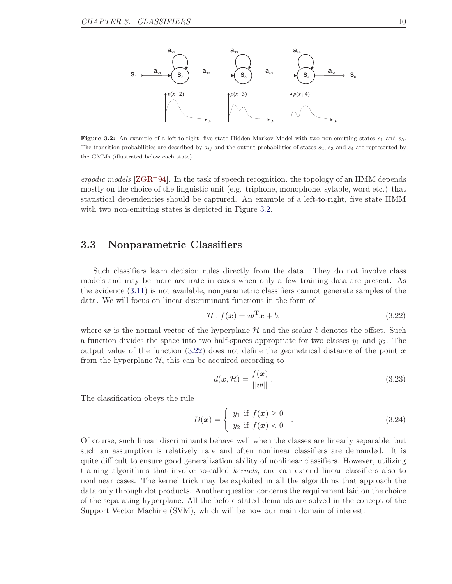<span id="page-15-1"></span>

Figure 3.2: An example of a left-to-right, five state Hidden Markov Model with two non-emitting states  $s_1$  and  $s_5$ . The transition probabilities are described by  $a_{ij}$  and the output probabilities of states  $s_2$ ,  $s_3$  and  $s_4$  are represented by the GMMs (illustrated below each state).

*ergodic models* [ $ZGR+94$ ]. In the task of speech recognition, the topology of an HMM depends mostly on the choice of the linguistic unit (e.g. triphone, monophone, sylable, word etc.) that statistical dependencies should be captured. An example of a left-to-right, five state HMM with two non-emitting states is depicted in Figure [3.2.](#page-15-1)

### <span id="page-15-0"></span>3.3 Nonparametric Classifiers

Such classifiers learn decision rules directly from the data. They do not involve class models and may be more accurate in cases when only a few training data are present. As the evidence [\(3.11\)](#page-12-3) is not available, nonparametric classifiers cannot generate samples of the data. We will focus on linear discriminant functions in the form of

<span id="page-15-2"></span>
$$
\mathcal{H}: f(\boldsymbol{x}) = \boldsymbol{w}^{\mathrm{T}} \boldsymbol{x} + b,\tag{3.22}
$$

where  $w$  is the normal vector of the hyperplane  $H$  and the scalar b denotes the offset. Such a function divides the space into two half-spaces appropriate for two classes  $y_1$  and  $y_2$ . The output value of the function  $(3.22)$  does not define the geometrical distance of the point x from the hyperplane  $H$ , this can be acquired according to

<span id="page-15-4"></span>
$$
d(\boldsymbol{x}, \mathcal{H}) = \frac{f(\boldsymbol{x})}{\|\boldsymbol{w}\|}.
$$
\n(3.23)

The classification obeys the rule

<span id="page-15-3"></span>
$$
D(\mathbf{x}) = \begin{cases} y_1 \text{ if } f(\mathbf{x}) \ge 0 \\ y_2 \text{ if } f(\mathbf{x}) < 0 \end{cases} .
$$
 (3.24)

Of course, such linear discriminants behave well when the classes are linearly separable, but such an assumption is relatively rare and often nonlinear classifiers are demanded. It is quite difficult to ensure good generalization ability of nonlinear classifiers. However, utilizing training algorithms that involve so-called kernels, one can extend linear classifiers also to nonlinear cases. The kernel trick may be exploited in all the algorithms that approach the data only through dot products. Another question concerns the requirement laid on the choice of the separating hyperplane. All the before stated demands are solved in the concept of the Support Vector Machine (SVM), which will be now our main domain of interest.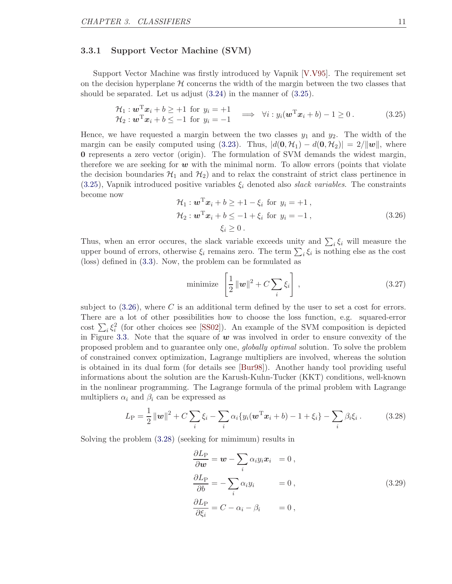#### <span id="page-16-0"></span>3.3.1 Support Vector Machine (SVM)

Support Vector Machine was firstly introduced by Vapnik [\[V.V95\]](#page-49-2). The requirement set on the decision hyperplane  $H$  concerns the width of the margin between the two classes that should be separated. Let us adjust [\(3.24\)](#page-15-3) in the manner of [\(3.25\)](#page-16-1).

<span id="page-16-1"></span>
$$
\mathcal{H}_1: \mathbf{w}^{\mathrm{T}} \mathbf{x}_i + b \geq +1 \text{ for } y_i = +1 \mathcal{H}_2: \mathbf{w}^{\mathrm{T}} \mathbf{x}_i + b \leq -1 \text{ for } y_i = -1 \implies \forall i: y_i(\mathbf{w}^{\mathrm{T}} \mathbf{x}_i + b) - 1 \geq 0.
$$
\n(3.25)

Hence, we have requested a margin between the two classes  $y_1$  and  $y_2$ . The width of the margin can be easily computed using [\(3.23\)](#page-15-4). Thus,  $|d(\mathbf{0}, \mathcal{H}_1) - d(\mathbf{0}, \mathcal{H}_2)| = 2/||\mathbf{w}||$ , where 0 represents a zero vector (origin). The formulation of SVM demands the widest margin, therefore we are seeking for  $w$  with the minimal norm. To allow errors (points that violate the decision boundaries  $\mathcal{H}_1$  and  $\mathcal{H}_2$  and to relax the constraint of strict class pertinence in  $(3.25)$ , Vapnik introduced positive variables  $\xi_i$  denoted also *slack variables*. The constraints become now

<span id="page-16-2"></span>
$$
\mathcal{H}_1: \boldsymbol{w}^{\mathrm{T}} \boldsymbol{x}_i + b \ge +1 - \xi_i \text{ for } y_i = +1 ,
$$
  
\n
$$
\mathcal{H}_2: \boldsymbol{w}^{\mathrm{T}} \boldsymbol{x}_i + b \le -1 + \xi_i \text{ for } y_i = -1 ,
$$
  
\n
$$
\xi_i \ge 0 .
$$
\n(3.26)

Thus, when an error occures, the slack variable exceeds unity and  $\sum_i \xi_i$  will measure the upper bound of errors, otherwise  $\xi_i$  remains zero. The term  $\sum_i \xi_i$  is nothing else as the cost (loss) defined in [\(3.3\)](#page-11-2). Now, the problem can be formulated as

<span id="page-16-5"></span>
$$
\text{minimize } \left[ \frac{1}{2} \left\| \boldsymbol{w} \right\|^2 + C \sum_{i} \xi_i \right],\tag{3.27}
$$

subject to  $(3.26)$ , where C is an additional term defined by the user to set a cost for errors. There are a lot of other possibilities how to choose the loss function, e.g. squared-error cost  $\sum_i \xi_i^2$  (for other choices see [\[SS02\]](#page-49-3)). An example of the SVM composition is depicted in Figure [3.3.](#page-17-0) Note that the square of  $w$  was involved in order to ensure convexity of the proposed problem and to guarantee only one, globally optimal solution. To solve the problem of constrained convex optimization, Lagrange multipliers are involved, whereas the solution is obtained in its dual form (for details see [\[Bur98\]](#page-45-1)). Another handy tool providing useful informations about the solution are the Karush-Kuhn-Tucker (KKT) conditions, well-known in the nonlinear programming. The Lagrange formula of the primal problem with Lagrange multipliers  $\alpha_i$  and  $\beta_i$  can be expressed as

<span id="page-16-3"></span>
$$
L_{\rm P} = \frac{1}{2} ||\mathbf{w}||^2 + C \sum_{i} \xi_i - \sum_{i} \alpha_i \{ y_i (\mathbf{w}^{\rm T} \mathbf{x}_i + b) - 1 + \xi_i \} - \sum_{i} \beta_i \xi_i.
$$
 (3.28)

Solving the problem [\(3.28\)](#page-16-3) (seeking for mimimum) results in

<span id="page-16-4"></span>
$$
\frac{\partial L_{\rm P}}{\partial \boldsymbol{w}} = \boldsymbol{w} - \sum_{i} \alpha_{i} y_{i} \boldsymbol{x}_{i} = 0, \n\frac{\partial L_{\rm P}}{\partial b} = - \sum_{i} \alpha_{i} y_{i} = 0, \n\frac{\partial L_{\rm P}}{\partial \xi_{i}} = C - \alpha_{i} - \beta_{i} = 0,
$$
\n(3.29)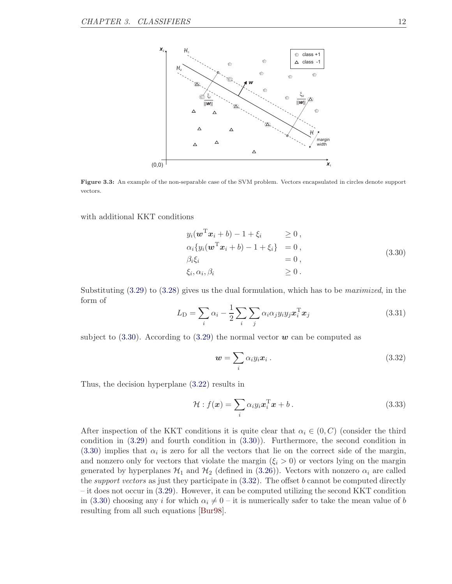<span id="page-17-0"></span>

Figure 3.3: An example of the non-separable case of the SVM problem. Vectors encapsulated in circles denote support vectors.

with additional KKT conditions

<span id="page-17-1"></span>
$$
y_i(\boldsymbol{w}^{\mathrm{T}}\boldsymbol{x}_i + b) - 1 + \xi_i \ge 0,
$$
  
\n
$$
\alpha_i \{ y_i(\boldsymbol{w}^{\mathrm{T}}\boldsymbol{x}_i + b) - 1 + \xi_i \} = 0,
$$
  
\n
$$
\beta_i \xi_i = 0,
$$
  
\n
$$
\xi_i, \alpha_i, \beta_i \ge 0.
$$
\n(3.30)

Substituting  $(3.29)$  to  $(3.28)$  gives us the dual formulation, which has to be *maximized*, in the form of

<span id="page-17-3"></span>
$$
L_{\rm D} = \sum_{i} \alpha_i - \frac{1}{2} \sum_{i} \sum_{j} \alpha_i \alpha_j y_i y_j \boldsymbol{x}_i^{\rm T} \boldsymbol{x}_j \tag{3.31}
$$

subject to  $(3.30)$ . According to  $(3.29)$  the normal vector w can be computed as

<span id="page-17-2"></span>
$$
\mathbf{w} = \sum_{i} \alpha_i y_i \mathbf{x}_i \,. \tag{3.32}
$$

Thus, the decision hyperplane [\(3.22\)](#page-15-2) results in

<span id="page-17-4"></span>
$$
\mathcal{H}: f(\boldsymbol{x}) = \sum_{i} \alpha_i y_i \boldsymbol{x}_i^{\mathrm{T}} \boldsymbol{x} + b \,. \tag{3.33}
$$

After inspection of the KKT conditions it is quite clear that  $\alpha_i \in (0, C)$  (consider the third condition in [\(3.29\)](#page-16-4) and fourth condition in [\(3.30\)](#page-17-1)). Furthermore, the second condition in  $(3.30)$  implies that  $\alpha_i$  is zero for all the vectors that lie on the correct side of the margin, and nonzero only for vectors that violate the margin  $(\xi_i > 0)$  or vectors lying on the margin generated by hyperplanes  $\mathcal{H}_1$  and  $\mathcal{H}_2$  (defined in [\(3.26\)](#page-16-2)). Vectors with nonzero  $\alpha_i$  are called the *support vectors* as just they participate in  $(3.32)$ . The offset b cannot be computed directly – it does not occur in [\(3.29\)](#page-16-4). However, it can be computed utilizing the second KKT condition in [\(3.30\)](#page-17-1) choosing any i for which  $\alpha_i \neq 0$  – it is numerically safer to take the mean value of b resulting from all such equations [\[Bur98\]](#page-45-1).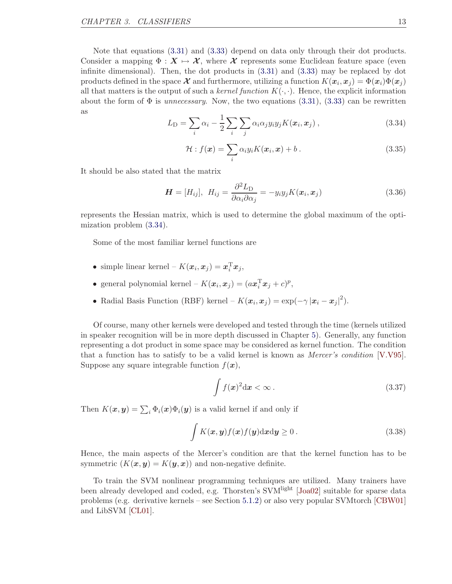Note that equations [\(3.31\)](#page-17-3) and [\(3.33\)](#page-17-4) depend on data only through their dot products. Consider a mapping  $\Phi : X \mapsto \mathcal{X}$ , where  $\mathcal X$  represents some Euclidean feature space (even infinite dimensional). Then, the dot products in [\(3.31\)](#page-17-3) and [\(3.33\)](#page-17-4) may be replaced by dot products defined in the space  $\mathcal X$  and furthermore, utilizing a function  $K(\pmb x_i, \pmb x_j) = \Phi(\pmb x_i) \Phi(\pmb x_j)$ all that matters is the output of such a kernel function  $K(\cdot, \cdot)$ . Hence, the explicit information about the form of  $\Phi$  is *unnecessary*. Now, the two equations [\(3.31\)](#page-17-3), [\(3.33\)](#page-17-4) can be rewritten as

<span id="page-18-0"></span>
$$
L_{\rm D} = \sum_{i} \alpha_i - \frac{1}{2} \sum_{i} \sum_{j} \alpha_i \alpha_j y_i y_j K(\boldsymbol{x}_i, \boldsymbol{x}_j) , \qquad (3.34)
$$

<span id="page-18-2"></span>
$$
\mathcal{H}: f(\boldsymbol{x}) = \sum_{i} \alpha_i y_i K(\boldsymbol{x}_i, \boldsymbol{x}) + b \,. \tag{3.35}
$$

It should be also stated that the matrix

<span id="page-18-3"></span>
$$
\boldsymbol{H} = [H_{ij}], \ H_{ij} = \frac{\partial^2 L_{\rm D}}{\partial \alpha_i \partial \alpha_j} = -y_i y_j K(\boldsymbol{x}_i, \boldsymbol{x}_j) \tag{3.36}
$$

represents the Hessian matrix, which is used to determine the global maximum of the optimization problem [\(3.34\)](#page-18-0).

Some of the most familiar kernel functions are

- simple linear kernel  $K(\boldsymbol{x}_i, \boldsymbol{x}_j) = \boldsymbol{x}_i^{\mathrm{T}} \boldsymbol{x}_j$ ,
- general polynomial kernel  $K(\boldsymbol{x}_i, \boldsymbol{x}_j) = (a\boldsymbol{x}_i^{\mathrm{T}}\boldsymbol{x}_j + c)^p$ ,
- Radial Basis Function (RBF) kernel  $K(\boldsymbol{x}_i, \boldsymbol{x}_j) = \exp(-\gamma |\boldsymbol{x}_i \boldsymbol{x}_j|^2)$ .

Of course, many other kernels were developed and tested through the time (kernels utilized in speaker recognition will be in more depth discussed in Chapter [5\)](#page-26-0). Generally, any function representing a dot product in some space may be considered as kernel function. The condition that a function has to satisfy to be a valid kernel is known as Mercer's condition [\[V.V95\]](#page-49-2). Suppose any square integrable function  $f(x)$ ,

$$
\int f(x)^2 \mathrm{d}x < \infty \,. \tag{3.37}
$$

Then  $K(\boldsymbol{x}, \boldsymbol{y}) = \sum_i \Phi_i(\boldsymbol{x}) \Phi_i(\boldsymbol{y})$  is a valid kernel if and only if

<span id="page-18-1"></span>
$$
\int K(x, y) f(x) f(y) dx dy \ge 0.
$$
\n(3.38)

Hence, the main aspects of the Mercer's condition are that the kernel function has to be symmetric  $(K(\mathbf{x}, \mathbf{y}) = K(\mathbf{y}, \mathbf{x}))$  and non-negative definite.

To train the SVM nonlinear programming techniques are utilized. Many trainers have been already developed and coded, e.g. Thorsten's SVM<sup>light</sup> [\[Joa02\]](#page-47-0) suitable for sparse data problems (e.g. derivative kernels – see Section [5.1.2\)](#page-34-0) or also very popular SVMtorch [\[CBW01\]](#page-45-2) and LibSVM [\[CL01\]](#page-45-3).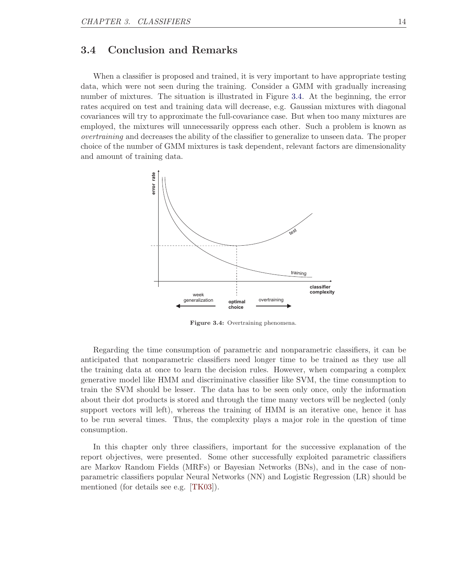### <span id="page-19-0"></span>3.4 Conclusion and Remarks

When a classifier is proposed and trained, it is very important to have appropriate testing data, which were not seen during the training. Consider a GMM with gradually increasing number of mixtures. The situation is illustrated in Figure [3.4.](#page-19-1) At the beginning, the error rates acquired on test and training data will decrease, e.g. Gaussian mixtures with diagonal covariances will try to approximate the full-covariance case. But when too many mixtures are employed, the mixtures will unnecessarily oppress each other. Such a problem is known as overtraining and decreases the ability of the classifier to generalize to unseen data. The proper choice of the number of GMM mixtures is task dependent, relevant factors are dimensionality and amount of training data.

<span id="page-19-1"></span>

Figure 3.4: Overtraining phenomena.

Regarding the time consumption of parametric and nonparametric classifiers, it can be anticipated that nonparametric classifiers need longer time to be trained as they use all the training data at once to learn the decision rules. However, when comparing a complex generative model like HMM and discriminative classifier like SVM, the time consumption to train the SVM should be lesser. The data has to be seen only once, only the information about their dot products is stored and through the time many vectors will be neglected (only support vectors will left), whereas the training of HMM is an iterative one, hence it has to be run several times. Thus, the complexity plays a major role in the question of time consumption.

In this chapter only three classifiers, important for the successive explanation of the report objectives, were presented. Some other successfully exploited parametric classifiers are Markov Random Fields (MRFs) or Bayesian Networks (BNs), and in the case of nonparametric classifiers popular Neural Networks (NN) and Logistic Regression (LR) should be mentioned (for details see e.g. [\[TK03\]](#page-49-0)).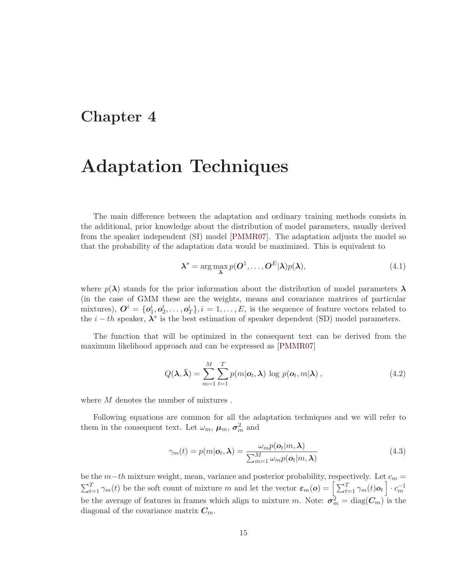### <span id="page-20-0"></span>Chapter 4

# Adaptation Techniques

The main difference between the adaptation and ordinary training methods consists in the additional, prior knowledge about the distribution of model parameters, usually derived from the speaker independent (SI) model [\[PMMR07\]](#page-48-3). The adaptation adjusts the model so that the probability of the adaptation data would be maximized. This is equivalent to

$$
\lambda^* = \arg\max_{\lambda} p(\boldsymbol{O}^1, \dots, \boldsymbol{O}^E|\lambda)p(\lambda), \tag{4.1}
$$

where  $p(\lambda)$  stands for the prior information about the distribution of model parameters  $\lambda$ (in the case of GMM these are the weights, means and covariance matrices of particular mixtures),  $\mathbf{O}^i = {\mathbf{o}_1^i, o_2^i, \dots, o_T^i}$ ,  $i = 1, \dots, E$ , is the sequence of feature vectors related to the  $i - th$  speaker,  $\lambda^*$  is the best estimation of speaker dependent (SD) model parameters.

The function that will be optimized in the consequent text can be derived from the maximum likelihood approach and can be expressed as [\[PMMR07\]](#page-48-3)

<span id="page-20-1"></span>
$$
Q(\lambda, \bar{\lambda}) = \sum_{m=1}^{M} \sum_{t=1}^{T} p(m|\mathbf{o}_t, \lambda) \log p(\mathbf{o}_t, m|\lambda), \qquad (4.2)
$$

where M denotes the number of mixtures.

Following equations are common for all the adaptation techniques and we will refer to them in the consequent text. Let  $\omega_m$ ,  $\mu_m$ ,  $\sigma_m^2$  and

<span id="page-20-2"></span>
$$
\gamma_m(t) = p(m|\mathbf{o}_t, \boldsymbol{\lambda}) = \frac{\omega_m p(\mathbf{o}_t|m, \boldsymbol{\lambda})}{\sum_{m=1}^M \omega_m p(\mathbf{o}_t|m, \boldsymbol{\lambda})}
$$
(4.3)

be the  $m-th$  mixture weight, mean, variance and posterior probability, respectively. Let  $c_m =$  $\sum_{t=1}^T \gamma_m(t)$  be the soft count of mixture m and let the vector  $\varepsilon_m(o) = \left[\sum_{t=1}^T \gamma_m(t) o_t\right] \cdot c_m^{-1}$ be the average of features in frames which align to mixture m. Note:  $\sigma_m^2 = \text{diag}(C_m)$  is the diagonal of the covariance matrix  $C_m$ .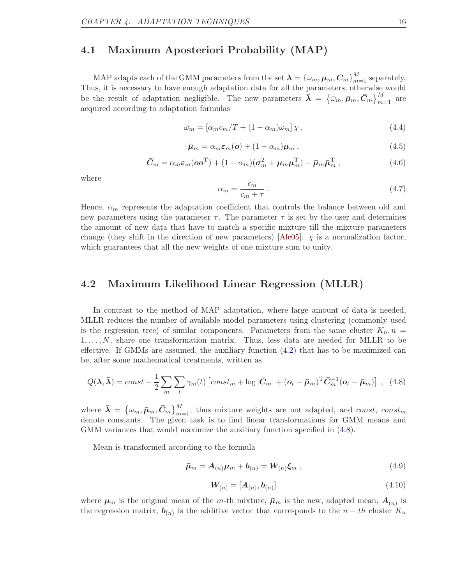### <span id="page-21-0"></span>4.1 Maximum Aposteriori Probability (MAP)

MAP adapts each of the GMM parameters from the set  $\boldsymbol{\lambda} = \{\omega_m, \boldsymbol{\mu}_m, \boldsymbol{C}_m\}_{m=1}^M$  separately. Thus, it is necessary to have enough adaptation data for all the parameters, otherwise would be the result of adaptation negligible. The new parameters  $\bar{\lambda} = \{\bar{\omega}_m, \bar{\mu}_m, \bar{C}_m\}_{m=1}^M$  are acquired according to adaptation formulas

<span id="page-21-3"></span>
$$
\bar{\omega}_m = \left[ \alpha_m c_m / T + (1 - \alpha_m) \omega_m \right] \chi \,, \tag{4.4}
$$

$$
\bar{\boldsymbol{\mu}}_m = \alpha_m \boldsymbol{\varepsilon}_m(\boldsymbol{o}) + (1 - \alpha_m) \boldsymbol{\mu}_m , \qquad (4.5)
$$

$$
\bar{C}_m = \alpha_m \varepsilon_m (oo^{\mathrm{T}}) + (1 - \alpha_m)(\sigma_m^2 + \mu_m \mu_m^{\mathrm{T}}) - \bar{\mu}_m \bar{\mu}_m^{\mathrm{T}} , \qquad (4.6)
$$

where

<span id="page-21-4"></span>
$$
\alpha_m = \frac{c_m}{c_m + \tau} \,. \tag{4.7}
$$

Hence,  $\alpha_m$  represents the adaptation coefficient that controls the balance between old and new parameters using the parameter  $\tau$ . The parameter  $\tau$  is set by the user and determines the amount of new data that have to match a specific mixture till the mixture parameters change (they shift in the direction of new parameters) [\[Ale05\]](#page-45-4).  $\chi$  is a normalization factor, which guarantees that all the new weights of one mixture sum to unity.

### <span id="page-21-1"></span>4.2 Maximum Likelihood Linear Regression (MLLR)

In contrast to the method of MAP adaptation, where large amount of data is needed, MLLR reduces the number of available model parameters using clustering (commonly used is the regression tree) of similar components. Parameters from the same cluster  $K_n$ ,  $n =$  $1,\ldots,N$ , share one transformation matrix. Thus, less data are needed for MLLR to be effective. If GMMs are assumed, the auxiliary function [\(4.2\)](#page-20-1) that has to be maximized can be, after some mathematical treatments, written as

<span id="page-21-2"></span>
$$
Q(\lambda, \bar{\lambda}) = const - \frac{1}{2} \sum_{m} \sum_{t} \gamma_m(t) \left[ const_m + \log |\bar{C}_m| + (\mathbf{o}_t - \bar{\boldsymbol{\mu}}_m)^{\mathrm{T}} \bar{C}_m^{-1} (\mathbf{o}_t - \bar{\boldsymbol{\mu}}_m) \right], \quad (4.8)
$$

where  $\bar{\boldsymbol{\lambda}} = \{ \omega_m, \bar{\boldsymbol{\mu}}_m, \bar{\boldsymbol{C}}_m \}_{m=1}^M$ , thus mixture weights are not adapted, and const, const<sub>m</sub> denote constants. The given task is to find linear transformations for GMM means and GMM variances that would maximize the auxiliary function specified in  $(4.8)$ .

Mean is transformed according to the formula

<span id="page-21-6"></span>
$$
\bar{\boldsymbol{\mu}}_m = \boldsymbol{A}_{(n)} \boldsymbol{\mu}_m + \boldsymbol{b}_{(n)} = \boldsymbol{W}_{(n)} \boldsymbol{\xi}_m \,, \tag{4.9}
$$

<span id="page-21-5"></span>
$$
\mathbf{W}_{(n)} = [\mathbf{A}_{(n)}, \mathbf{b}_{(n)}] \tag{4.10}
$$

where  $\mu_m$  is the original mean of the m-th mixture,  $\bar{\mu}_m$  is the new, adapted mean,  $A_{(n)}$  is the regression matrix,  $\boldsymbol{b}_{(n)}$  is the additive vector that corresponds to the  $n - th$  cluster  $K_n$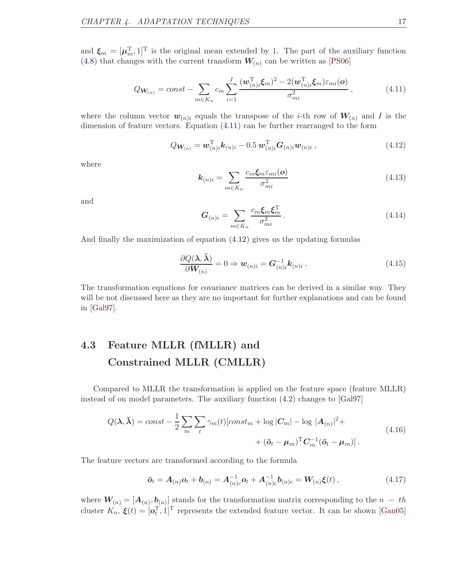and  $\xi_m = [\mu_m^T, 1]^T$  is the original mean extended by 1. The part of the auxiliary function [\(4.8\)](#page-21-2) that changes with the current transform  $W_{(n)}$  can be written as [\[PS06\]](#page-48-4)

<span id="page-22-1"></span>
$$
Q_{\boldsymbol{W}_{(n)}} = const - \sum_{m \in K_n} c_m \sum_{i=1}^I \frac{(\boldsymbol{w}_{(n)i}^{\mathrm{T}} \boldsymbol{\xi}_m)^2 - 2(\boldsymbol{w}_{(n)i}^{\mathrm{T}} \boldsymbol{\xi}_m) \varepsilon_{mi}(\boldsymbol{o})}{\sigma_{mi}^2}, \qquad (4.11)
$$

where the column vector  $w_{(n)i}$  equals the transpose of the *i*-th row of  $W_{(n)}$  and *I* is the dimension of feature vectors. Equation [\(4.11\)](#page-22-1) can be further rearranged to the form

<span id="page-22-2"></span>
$$
Q_{\mathbf{W}_{(n)}} = \mathbf{w}_{(n)i}^{\mathrm{T}} \mathbf{k}_{(n)i} - 0.5 \mathbf{w}_{(n)i}^{\mathrm{T}} \mathbf{G}_{(n)i} \mathbf{w}_{(n)i} ,
$$
 (4.12)

where

<span id="page-22-4"></span>
$$
\mathbf{k}_{(n)i} = \sum_{m \in K_n} \frac{c_m \xi_m \varepsilon_{mi}(o)}{\sigma_{mi}^2}
$$
(4.13)

and

$$
G_{(n)i} = \sum_{m \in K_n} \frac{c_m \xi_m \xi_m^{\mathrm{T}}}{\sigma_{mi}^2} \,. \tag{4.14}
$$

And finally the maximization of equation [\(4.12\)](#page-22-2) gives us the updating formulas

<span id="page-22-5"></span>
$$
\frac{\partial Q(\mathbf{\lambda}, \bar{\mathbf{\lambda}})}{\partial \mathbf{W}_{(n)}} = 0 \Rightarrow \mathbf{w}_{(n)i} = \mathbf{G}_{(n)i}^{-1} \mathbf{k}_{(n)i} .
$$
\n(4.15)

The transformation equations for covariance matrices can be derived in a similar way. They will be not discussed here as they are no important for further explanations and can be found in [\[Gal97\]](#page-46-4).

### <span id="page-22-0"></span>4.3 Feature MLLR (fMLLR) and Constrained MLLR (CMLLR)

Compared to MLLR the transformation is applied on the feature space (feature MLLR) instead of on model parameters. The auxiliary function [\(4.2\)](#page-20-1) changes to [\[Gal97\]](#page-46-4)

<span id="page-22-3"></span>
$$
Q(\lambda, \bar{\lambda}) = const - \frac{1}{2} \sum_{m} \sum_{t} \gamma_m(t) [const_m + \log |C_m| - \log |A_{(n)}|^2 +
$$
  
 
$$
+ (\bar{o}_t - \mu_m)^{\mathrm{T}} C_m^{-1} (\bar{o}_t - \mu_m)]. \tag{4.16}
$$

The feature vectors are transformed according to the formula

$$
\bar{\boldsymbol{o}}_t = \boldsymbol{A}_{(n)} \boldsymbol{o}_t + \boldsymbol{b}_{(n)} = \boldsymbol{A}_{(n)c}^{-1} \boldsymbol{o}_t + \boldsymbol{A}_{(n)c}^{-1} \boldsymbol{b}_{(n)c} = \boldsymbol{W}_{(n)} \boldsymbol{\xi}(t) ,
$$
\n(4.17)

where  $W_{(n)} = [A_{(n)}, \underline{b}_{(n)}]$  stands for the transformation matrix corresponding to the  $n - th$ cluster  $K_n$ ,  $\xi(t) = [\mathbf{o}_t^{\mathrm{T}}, 1]^{\mathrm{T}}$  represents the extended feature vector. It can be shown [\[Gan05\]](#page-46-5)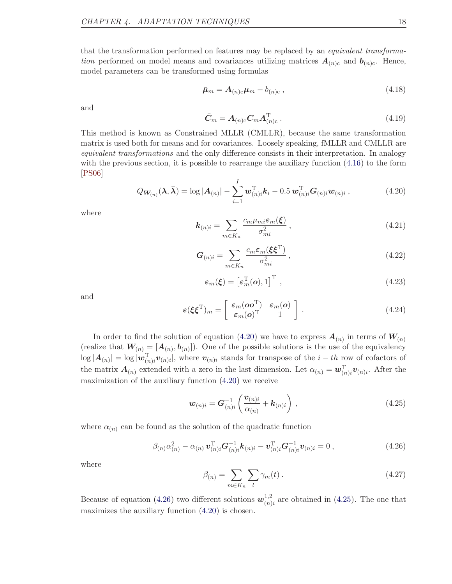that the transformation performed on features may be replaced by an equivalent transformation performed on model means and covariances utilizing matrices  $A_{(n)c}$  and  $b_{(n)c}$ . Hence, model parameters can be transformed using formulas

$$
\bar{\boldsymbol{\mu}}_m = \boldsymbol{A}_{(n)c}\boldsymbol{\mu}_m - b_{(n)c} \,, \tag{4.18}
$$

and

$$
\bar{C}_m = A_{(n)c} C_m A_{(n)c}^{\mathrm{T}} . \qquad (4.19)
$$

This method is known as Constrained MLLR (CMLLR), because the same transformation matrix is used both for means and for covariances. Loosely speaking, fMLLR and CMLLR are equivalent transformations and the only difference consists in their interpretation. In analogy with the previous section, it is possible to rearrange the auxiliary function  $(4.16)$  to the form [\[PS06\]](#page-48-4)

<span id="page-23-0"></span>
$$
Q_{\boldsymbol{W}_{(n)}}(\boldsymbol{\lambda},\boldsymbol{\bar{\lambda}})=\log|\boldsymbol{A}_{(n)}|-\sum_{i=1}^I\boldsymbol{w}_{(n)i}^{\mathrm{T}}\boldsymbol{k}_i-0.5\,\boldsymbol{w}_{(n)i}^{\mathrm{T}}\boldsymbol{G}_{(n)i}\boldsymbol{w}_{(n)i},
$$
\n(4.20)

where

<span id="page-23-3"></span>
$$
\mathbf{k}_{(n)i} = \sum_{m \in K_n} \frac{c_m \mu_{mi} \varepsilon_m(\boldsymbol{\xi})}{\sigma_{mi}^2},\tag{4.21}
$$

<span id="page-23-4"></span>
$$
G_{(n)i} = \sum_{m \in K_n} \frac{c_m \varepsilon_m (\xi \xi^{\mathrm{T}})}{\sigma_{mi}^2},\tag{4.22}
$$

$$
\varepsilon_m(\boldsymbol{\xi}) = \left[\varepsilon_m^{\mathrm{T}}(\boldsymbol{o}), 1\right]^{\mathrm{T}},\tag{4.23}
$$

and

$$
\varepsilon(\xi \xi^{\mathrm{T}})_{m} = \begin{bmatrix} \varepsilon_{m}(\boldsymbol{o} \boldsymbol{o}^{\mathrm{T}}) & \varepsilon_{m}(\boldsymbol{o}) \\ \varepsilon_{m}(\boldsymbol{o})^{\mathrm{T}} & 1 \end{bmatrix} . \tag{4.24}
$$

In order to find the solution of equation [\(4.20\)](#page-23-0) we have to express  $A_{(n)}$  in terms of  $W_{(n)}$ (realize that  $W_{(n)} = [A_{(n)}, b_{(n)}]$ ). One of the possible solutions is the use of the equivalency  $\log |A_{(n)}| = \log |\mathbf{w}_{(n)i}^{\mathrm{T}} \mathbf{v}_{(n)i}|$ , where  $\mathbf{v}_{(n)i}$  stands for transpose of the  $i-th$  row of cofactors of the matrix  $\mathbf{A}_{(n)}$  extended with a zero in the last dimension. Let  $\alpha_{(n)} = \mathbf{w}_{(n)i}^{\mathrm{T}} \mathbf{v}_{(n)i}$ . After the maximization of the auxiliary function [\(4.20\)](#page-23-0) we receive

<span id="page-23-2"></span>
$$
\boldsymbol{w}_{(n)i} = \boldsymbol{G}_{(n)i}^{-1} \left( \frac{\boldsymbol{v}_{(n)i}}{\alpha_{(n)}} + \boldsymbol{k}_{(n)i} \right) , \qquad (4.25)
$$

where  $\alpha_{(n)}$  can be found as the solution of the quadratic function

<span id="page-23-1"></span>
$$
\beta_{(n)} \alpha_{(n)}^2 - \alpha_{(n)} \, \mathbf{v}_{(n)i}^{\mathrm{T}} \mathbf{G}_{(n)i}^{-1} \mathbf{k}_{(n)i} - \mathbf{v}_{(n)i}^{\mathrm{T}} \mathbf{G}_{(n)i}^{-1} \mathbf{v}_{(n)i} = 0 \,, \tag{4.26}
$$

where

<span id="page-23-5"></span>
$$
\beta_{(n)} = \sum_{m \in K_n} \sum_{t} \gamma_m(t) \,. \tag{4.27}
$$

Because of equation [\(4.26\)](#page-23-1) two different solutions  $w_{(n)}^{1,2}$  $_{(n)i}^{1,2}$  are obtained in [\(4.25\)](#page-23-2). The one that maximizes the auxiliary function [\(4.20\)](#page-23-0) is chosen.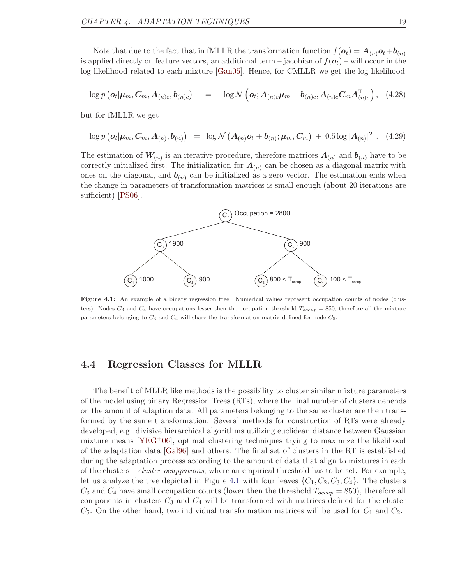Note that due to the fact that in fMLLR the transformation function  $f(\boldsymbol{o}_t) = \boldsymbol{A}_{(n)}\boldsymbol{o}_t + \boldsymbol{b}_{(n)}$ is applied directly on feature vectors, an additional term – jacobian of  $f(\boldsymbol{o}_t)$  – will occur in the log likelihood related to each mixture [\[Gan05\]](#page-46-5). Hence, for CMLLR we get the log likelihood

$$
\log p\left(\boldsymbol{o}_{t}|\boldsymbol{\mu}_{m},\boldsymbol{C}_{m},\boldsymbol{A}_{(n)c},\boldsymbol{b}_{(n)c}\right) = \log \mathcal{N}\left(\boldsymbol{o}_{t};\boldsymbol{A}_{(n)c}\boldsymbol{\mu}_{m}-\boldsymbol{b}_{(n)c},\boldsymbol{A}_{(n)c}\boldsymbol{C}_{m}\boldsymbol{A}_{(n)c}^{T}\right), (4.28)
$$

but for fMLLR we get

$$
\log p\left(\boldsymbol{o}_t|\boldsymbol{\mu}_m,\boldsymbol{C}_m,\boldsymbol{A}_{(n)},\boldsymbol{b}_{(n)}\right) = \log \mathcal{N}\left(\boldsymbol{A}_{(n)}\boldsymbol{o}_t+\boldsymbol{b}_{(n)};\boldsymbol{\mu}_m,\boldsymbol{C}_m\right) + 0.5\log|\boldsymbol{A}_{(n)}|^2. (4.29)
$$

The estimation of  $W_{(n)}$  is an iterative procedure, therefore matrices  $A_{(n)}$  and  $b_{(n)}$  have to be correctly initialized first. The initialization for  $A_{(n)}$  can be chosen as a diagonal matrix with ones on the diagonal, and  $\mathbf{b}_{(n)}$  can be initialized as a zero vector. The estimation ends when the change in parameters of transformation matrices is small enough (about 20 iterations are sufficient) [\[PS06\]](#page-48-4).

<span id="page-24-1"></span>

Figure 4.1: An example of a binary regression tree. Numerical values represent occupation counts of nodes (clusters). Nodes  $C_3$  and  $C_4$  have occupations lesser then the occupation threshold  $T_{occup} = 850$ , therefore all the mixture parameters belonging to  $C_3$  and  $C_4$  will share the transformation matrix defined for node  $C_5$ .

### <span id="page-24-0"></span>4.4 Regression Classes for MLLR

The benefit of MLLR like methods is the possibility to cluster similar mixture parameters of the model using binary Regression Trees (RTs), where the final number of clusters depends on the amount of adaption data. All parameters belonging to the same cluster are then transformed by the same transformation. Several methods for construction of RTs were already developed, e.g. divisive hierarchical algorithms utilizing euclidean distance between Gaussian mixture means  $[YEG+06]$ , optimal clustering techniques trying to maximize the likelihood of the adaptation data [\[Gal96\]](#page-46-6) and others. The final set of clusters in the RT is established during the adaptation process according to the amount of data that align to mixtures in each of the clusters – *cluster ocuppations*, where an empirical threshold has to be set. For example, let us analyze the tree depicted in Figure [4.1](#page-24-1) with four leaves  $\{C_1, C_2, C_3, C_4\}$ . The clusters  $C_3$  and  $C_4$  have small occupation counts (lower then the threshold  $T_{occup} = 850$ ), therefore all components in clusters  $C_3$  and  $C_4$  will be transformed with matrices defined for the cluster  $C_5$ . On the other hand, two individual transformation matrices will be used for  $C_1$  and  $C_2$ .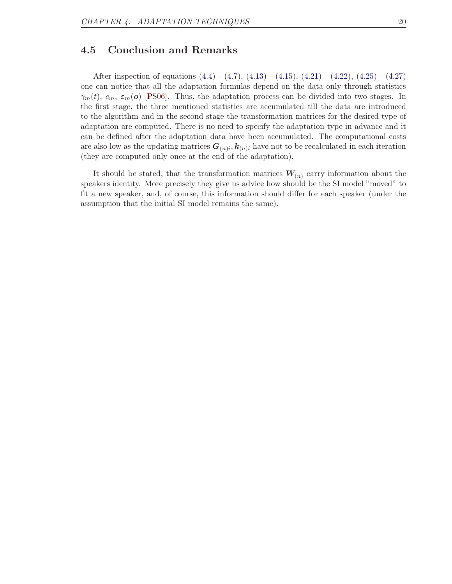### <span id="page-25-0"></span>4.5 Conclusion and Remarks

After inspection of equations [\(4.4\)](#page-21-3) - [\(4.7\)](#page-21-4), [\(4.13\)](#page-22-4) - [\(4.15\)](#page-22-5), [\(4.21\)](#page-23-3) - [\(4.22\)](#page-23-4), [\(4.25\)](#page-23-2) - [\(4.27\)](#page-23-5) one can notice that all the adaptation formulas depend on the data only through statistics  $\gamma_m(t)$ ,  $c_m$ ,  $\varepsilon_m(o)$  [\[PS06\]](#page-48-4). Thus, the adaptation process can be divided into two stages. In the first stage, the three mentioned statistics are accumulated till the data are introduced to the algorithm and in the second stage the transformation matrices for the desired type of adaptation are computed. There is no need to specify the adaptation type in advance and it can be defined after the adaptation data have been accumulated. The computational costs are also low as the updating matrices  $G_{(n)i}$ ,  $k_{(n)i}$  have not to be recalculated in each iteration (they are computed only once at the end of the adaptation).

It should be stated, that the transformation matrices  $W_{(n)}$  carry information about the speakers identity. More precisely they give us advice how should be the SI model "moved" to fit a new speaker, and, of course, this information should differ for each speaker (under the assumption that the initial SI model remains the same).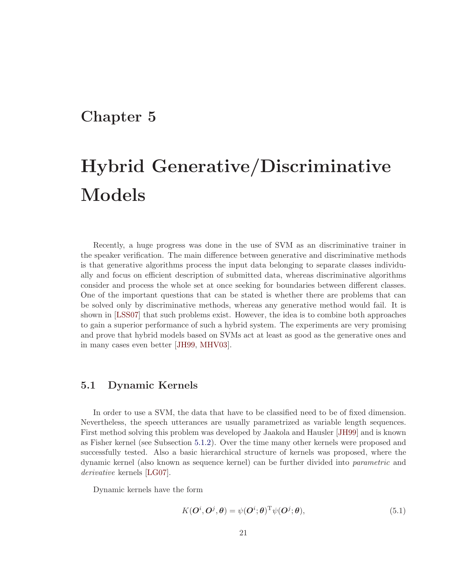### <span id="page-26-0"></span>Chapter 5

# Hybrid Generative/Discriminative Models

Recently, a huge progress was done in the use of SVM as an discriminative trainer in the speaker verification. The main difference between generative and discriminative methods is that generative algorithms process the input data belonging to separate classes individually and focus on efficient description of submitted data, whereas discriminative algorithms consider and process the whole set at once seeking for boundaries between different classes. One of the important questions that can be stated is whether there are problems that can be solved only by discriminative methods, whereas any generative method would fail. It is shown in [\[LSS07\]](#page-47-1) that such problems exist. However, the idea is to combine both approaches to gain a superior performance of such a hybrid system. The experiments are very promising and prove that hybrid models based on SVMs act at least as good as the generative ones and in many cases even better [\[JH99,](#page-46-7) [MHV03\]](#page-47-2).

### <span id="page-26-1"></span>5.1 Dynamic Kernels

In order to use a SVM, the data that have to be classified need to be of fixed dimension. Nevertheless, the speech utterances are usually parametrized as variable length sequences. First method solving this problem was developed by Jaakola and Hausler [\[JH99\]](#page-46-7) and is known as Fisher kernel (see Subsection [5.1.2\)](#page-34-0). Over the time many other kernels were proposed and successfully tested. Also a basic hierarchical structure of kernels was proposed, where the dynamic kernel (also known as sequence kernel) can be further divided into parametric and derivative kernels [\[LG07\]](#page-47-3).

Dynamic kernels have the form

<span id="page-26-2"></span>
$$
K(\mathbf{O}^i, \mathbf{O}^j, \theta) = \psi(\mathbf{O}^i; \theta)^{\mathrm{T}} \psi(\mathbf{O}^j; \theta), \tag{5.1}
$$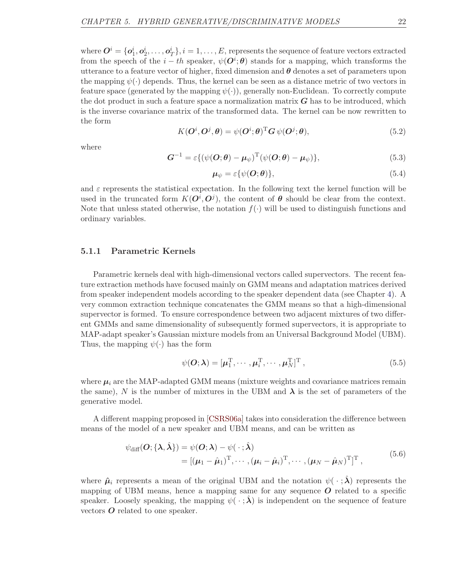where  $\bm{O}^i=\{\bm{o}_1^i,\bm{o}_2^i,\ldots,\bm{o}_T^i\}, i=1,\ldots,E,$  represents the sequence of feature vectors extracted from the speech of the  $i - th$  speaker,  $\psi(\mathbf{O}^i; \boldsymbol{\theta})$  stands for a mapping, which transforms the utterance to a feature vector of higher, fixed dimension and  $\theta$  denotes a set of parameters upon the mapping  $\psi(\cdot)$  depends. Thus, the kernel can be seen as a distance metric of two vectors in feature space (generated by the mapping  $\psi(\cdot)$ ), generally non-Euclidean. To correctly compute the dot product in such a feature space a normalization matrix  $G$  has to be introduced, which is the inverse covariance matrix of the transformed data. The kernel can be now rewritten to the form

<span id="page-27-1"></span>
$$
K(\mathbf{O}^i, \mathbf{O}^j, \boldsymbol{\theta}) = \psi(\mathbf{O}^i; \boldsymbol{\theta})^{\mathrm{T}} \mathbf{G} \psi(\mathbf{O}^j; \boldsymbol{\theta}), \tag{5.2}
$$

where

<span id="page-27-2"></span>
$$
\mathbf{G}^{-1} = \varepsilon \{ (\psi(\mathbf{O}; \boldsymbol{\theta}) - \boldsymbol{\mu}_{\psi})^{\mathrm{T}} (\psi(\mathbf{O}; \boldsymbol{\theta}) - \boldsymbol{\mu}_{\psi}) \},
$$
(5.3)

$$
\mu_{\psi} = \varepsilon \{ \psi(\mathbf{O}; \boldsymbol{\theta}) \},\tag{5.4}
$$

and  $\varepsilon$  represents the statistical expectation. In the following text the kernel function will be used in the truncated form  $K(O^i, O^j)$ , the content of  $\theta$  should be clear from the context. Note that unless stated otherwise, the notation  $f(.)$  will be used to distinguish functions and ordinary variables.

### <span id="page-27-0"></span>5.1.1 Parametric Kernels

Parametric kernels deal with high-dimensional vectors called supervectors. The recent feature extraction methods have focused mainly on GMM means and adaptation matrices derived from speaker independent models according to the speaker dependent data (see Chapter [4\)](#page-20-0). A very common extraction technique concatenates the GMM means so that a high-dimensional supervector is formed. To ensure correspondence between two adjacent mixtures of two different GMMs and same dimensionality of subsequently formed supervectors, it is appropriate to MAP-adapt speaker's Gaussian mixture models from an Universal Background Model (UBM). Thus, the mapping  $\psi(\cdot)$  has the form

$$
\psi(\boldsymbol{O};\boldsymbol{\lambda}) = [\boldsymbol{\mu}_1^{\mathrm{T}}, \cdots, \boldsymbol{\mu}_i^{\mathrm{T}}, \cdots, \boldsymbol{\mu}_N^{\mathrm{T}}]^{\mathrm{T}},
$$
\n(5.5)

where  $\mu_i$  are the MAP-adapted GMM means (mixture weights and covariance matrices remain the same), N is the number of mixtures in the UBM and  $\lambda$  is the set of parameters of the generative model.

A different mapping proposed in [\[CSRS06a\]](#page-45-5) takes into consideration the difference between means of the model of a new speaker and UBM means, and can be written as

$$
\psi_{\text{diff}}(O; \{\boldsymbol{\lambda}, \hat{\boldsymbol{\lambda}}\}) = \psi(O; \boldsymbol{\lambda}) - \psi(\cdot; \hat{\boldsymbol{\lambda}})
$$
  
= 
$$
[(\mu_1 - \hat{\mu}_1)^{\text{T}}, \cdots, (\mu_i - \hat{\mu}_i)^{\text{T}}, \cdots, (\mu_N - \hat{\mu}_N)^{\text{T}}]^{\text{T}},
$$
(5.6)

where  $\hat{\mu}_i$  represents a mean of the original UBM and the notation  $\psi(\cdot;\hat{\lambda})$  represents the mapping of UBM means, hence a mapping same for any sequence  $O$  related to a specific speaker. Loosely speaking, the mapping  $\psi(\cdot;\lambda)$  is independent on the sequence of feature vectors  $O$  related to one speaker.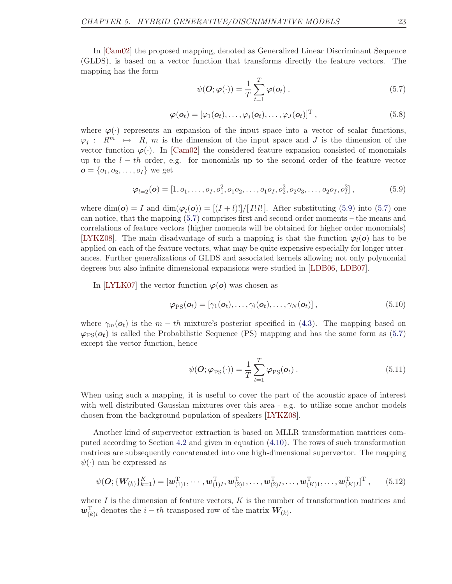In [\[Cam02\]](#page-45-6) the proposed mapping, denoted as Generalized Linear Discriminant Sequence (GLDS), is based on a vector function that transforms directly the feature vectors. The mapping has the form

<span id="page-28-1"></span>
$$
\psi(\boldsymbol{O};\boldsymbol{\varphi}(\cdot)) = \frac{1}{T} \sum_{t=1}^{T} \boldsymbol{\varphi}(\boldsymbol{o}_t), \qquad (5.7)
$$

<span id="page-28-2"></span>
$$
\boldsymbol{\varphi}(\boldsymbol{o}_t) = [\varphi_1(\boldsymbol{o}_t), \dots, \varphi_j(\boldsymbol{o}_t), \dots, \varphi_j(\boldsymbol{o}_t)]^{\mathrm{T}}, \qquad (5.8)
$$

where  $\varphi(\cdot)$  represents an expansion of the input space into a vector of scalar functions,  $\varphi_i : R^m \mapsto R$ , m is the dimension of the input space and J is the dimension of the vector function  $\varphi(\cdot)$ . In [\[Cam02\]](#page-45-6) the considered feature expansion consisted of monomials up to the  $l - th$  order, e.g. for monomials up to the second order of the feature vector  $o = \{o_1, o_2, \ldots, o_I\}$  we get

<span id="page-28-0"></span>
$$
\boldsymbol{\varphi}_{l=2}(o) = [1, o_1, \dots, o_I, o_1^2, o_1 o_2, \dots, o_1 o_I, o_2^2, o_2 o_3, \dots, o_2 o_I, o_I^2],
$$
\n
$$
(5.9)
$$

where  $\dim(\boldsymbol{\omega}) = I$  and  $\dim(\varphi_l(\boldsymbol{\omega})) = [(I + l)!]/[I!l!]$ . After substituting [\(5.9\)](#page-28-0) into [\(5.7\)](#page-28-1) one can notice, that the mapping [\(5.7\)](#page-28-1) comprises first and second-order moments – the means and correlations of feature vectors (higher moments will be obtained for higher order monomials) [\[LYKZ08\]](#page-47-4). The main disadvantage of such a mapping is that the function  $\varphi_l(o)$  has to be applied on each of the feature vectors, what may be quite expensive especially for longer utterances. Further generalizations of GLDS and associated kernels allowing not only polynomial degrees but also infinite dimensional expansions were studied in [\[LDB06,](#page-47-5) [LDB07\]](#page-47-6).

In [\[LYLK07\]](#page-47-7) the vector function  $\varphi(\boldsymbol{o})$  was chosen as

$$
\boldsymbol{\varphi}_{\rm PS}(\boldsymbol{o}_t) = [\gamma_1(\boldsymbol{o}_t), \dots, \gamma_i(\boldsymbol{o}_t), \dots, \gamma_N(\boldsymbol{o}_t)],
$$
\n(5.10)

where  $\gamma_m(\mathbf{o}_t)$  is the  $m - th$  mixture's posterior specified in [\(4.3\)](#page-20-2). The mapping based on  $\varphi_{\rm PS}(\boldsymbol{\sigma_t})$  is called the Probabilistic Sequence (PS) mapping and has the same form as [\(5.7\)](#page-28-1) except the vector function, hence

$$
\psi(\boldsymbol{O};\boldsymbol{\varphi}_{\text{PS}}(\cdot)) = \frac{1}{T} \sum_{t=1}^{T} \boldsymbol{\varphi}_{\text{PS}}(\boldsymbol{o}_t).
$$
\n(5.11)

When using such a mapping, it is useful to cover the part of the acoustic space of interest with well distributed Gaussian mixtures over this area  $-$  e.g. to utilize some anchor models chosen from the background population of speakers [\[LYKZ08\]](#page-47-4).

Another kind of supervector extraction is based on MLLR transformation matrices computed according to Section [4.2](#page-21-1) and given in equation [\(4.10\)](#page-21-5). The rows of such transformation matrices are subsequently concatenated into one high-dimensional supervector. The mapping  $\psi(\cdot)$  can be expressed as

$$
\psi(\boldsymbol{O}; \{\boldsymbol{W}_{(k)}\}_{k=1}^K) = [\boldsymbol{w}_{(1)1}^{\mathrm{T}}, \cdots, \boldsymbol{w}_{(1)I}^{\mathrm{T}}, \boldsymbol{w}_{(2)1}^{\mathrm{T}}, \ldots, \boldsymbol{w}_{(2)I}^{\mathrm{T}}, \ldots, \boldsymbol{w}_{(K)1}^{\mathrm{T}}, \cdots, \boldsymbol{w}_{(K)I}^{\mathrm{T}}]^{\mathrm{T}}, \qquad (5.12)
$$

where  $I$  is the dimension of feature vectors,  $K$  is the number of transformation matrices and  $w_{(k)i}^{\mathrm{T}}$  denotes the  $i-th$  transposed row of the matrix  $W_{(k)}$ .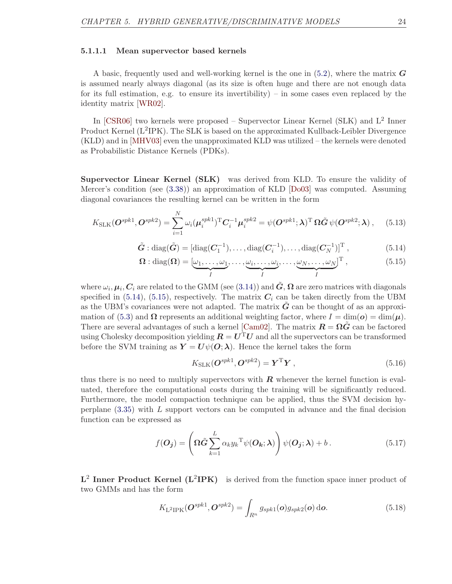#### <span id="page-29-2"></span>5.1.1.1 Mean supervector based kernels

A basic, frequently used and well-working kernel is the one in  $(5.2)$ , where the matrix G is assumed nearly always diagonal (as its size is often huge and there are not enough data for its full estimation, e.g. to ensure its invertibility) – in some cases even replaced by the identity matrix [\[WR02\]](#page-49-5).

In [\[CSR06\]](#page-45-7) two kernels were proposed – Supervector Linear Kernel (SLK) and L<sup>2</sup> Inner Product Kernel (L<sup>2</sup>IPK). The SLK is based on the approximated Kullback-Leibler Divergence (KLD) and in [\[MHV03\]](#page-47-2) even the unapproximated KLD was utilized – the kernels were denoted as Probabilistic Distance Kernels (PDKs).

Supervector Linear Kernel (SLK) was derived from KLD. To ensure the validity of Mercer's condition (see [\(3.38\)](#page-18-1)) an approximation of KLD [\[Do03\]](#page-46-8) was computed. Assuming diagonal covariances the resulting kernel can be written in the form

<span id="page-29-3"></span>
$$
K_{\text{SLK}}(\mathbf{O}^{spk1},\mathbf{O}^{spk2}) = \sum_{i=1}^{N} \omega_i (\boldsymbol{\mu}_i^{spk1})^{\text{T}} \mathbf{C}_i^{-1} \boldsymbol{\mu}_i^{spk2} = \psi(\mathbf{O}^{spk1}; \boldsymbol{\lambda})^{\text{T}} \Omega \tilde{\mathbf{G}} \psi(\mathbf{O}^{spk2}; \boldsymbol{\lambda}), \quad (5.13)
$$

<span id="page-29-0"></span>
$$
\tilde{G} : \text{diag}(\tilde{G}) = [\text{diag}(C_1^{-1}), \dots, \text{diag}(C_i^{-1}), \dots, \text{diag}(C_N^{-1})]^T, \tag{5.14}
$$

<span id="page-29-1"></span>
$$
\mathbf{\Omega} : \text{diag}(\mathbf{\Omega}) = [\underbrace{\omega_1, \dots, \omega_1}_{I}, \dots, \underbrace{\omega_i, \dots, \omega_i}_{I}, \dots, \underbrace{\omega_N, \dots, \omega_N}_{I}], \tag{5.15}
$$

where  $\omega_i, \bm{\mu}_i, \bm{C}_i$  are related to the GMM (see [\(3.14\)](#page-13-2)) and  $\tilde{\bm{G}}, \bm{\Omega}$  are zero matrices with diagonals specified in  $(5.14)$ ,  $(5.15)$ , respectively. The matrix  $C_i$  can be taken directly from the UBM as the UBM's covariances were not adapted. The matrix  $\boldsymbol{G}$  can be thought of as an approxi-mation of [\(5.3\)](#page-27-2) and  $\Omega$  represents an additional weighting factor, where  $I = \dim(\mathbf{\omega}) = \dim(\mathbf{\mu})$ . There are several advantages of such a kernel [\[Cam02\]](#page-45-6). The matrix  $\mathbf{R} = \Omega \mathbf{G}$  can be factored using Cholesky decomposition yielding  $R = U<sup>T</sup>U$  and all the supervectors can be transformed before the SVM training as  $Y = U\psi(O;\lambda)$ . Hence the kernel takes the form

$$
K_{\text{SLK}}(\mathbf{O}^{spk1}, \mathbf{O}^{spk2}) = \mathbf{Y}^{\text{T}} \mathbf{Y} , \qquad (5.16)
$$

thus there is no need to multiply supervectors with  $\bm{R}$  whenever the kernel function is evaluated, therefore the computational costs during the training will be significantly reduced. Furthermore, the model compaction technique can be applied, thus the SVM decision hyperplane [\(3.35\)](#page-18-2) with L support vectors can be computed in advance and the final decision function can be expressed as

$$
f(\boldsymbol{O}_j) = \left(\boldsymbol{\Omega}\tilde{\boldsymbol{G}}\sum_{k=1}^L \alpha_k y_k^{\mathrm{T}} \psi(\boldsymbol{O}_k;\boldsymbol{\lambda})\right) \psi(\boldsymbol{O}_j;\boldsymbol{\lambda}) + b. \tag{5.17}
$$

 $L^2$  Inner Product Kernel ( $L^2IPK$ ) is derived from the function space inner product of two GMMs and has the form

$$
K_{\text{L}^2\text{IPK}}(\boldsymbol{O}^{spk1},\boldsymbol{O}^{spk2}) = \int_{R^n} g_{spk1}(\boldsymbol{o}) g_{spk2}(\boldsymbol{o}) \,\mathrm{d}\boldsymbol{o}.\tag{5.18}
$$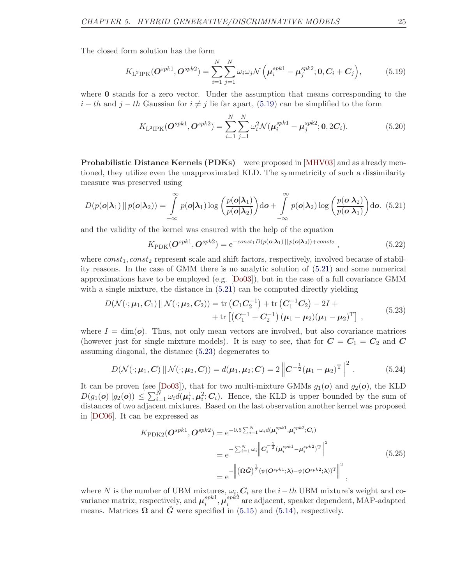The closed form solution has the form

<span id="page-30-0"></span>
$$
K_{\text{L}^2\text{IPK}}(\mathbf{O}^{spk1},\mathbf{O}^{spk2}) = \sum_{i=1}^{N} \sum_{j=1}^{N} \omega_i \omega_j \mathcal{N}\left(\mu_i^{spk1} - \mu_j^{spk2}; \mathbf{0}, \mathbf{C}_i + \mathbf{C}_j\right),\tag{5.19}
$$

where **0** stands for a zero vector. Under the assumption that means corresponding to the  $i - th$  and  $j - th$  Gaussian for  $i \neq j$  lie far apart, [\(5.19\)](#page-30-0) can be simplified to the form

$$
K_{\text{L}^2\text{IPK}}(\mathbf{O}^{spk1},\mathbf{O}^{spk2}) = \sum_{i=1}^{N} \sum_{j=1}^{N} \omega_i^2 \mathcal{N}(\boldsymbol{\mu}_i^{spk1} - \boldsymbol{\mu}_j^{spk2}; \mathbf{0}, 2\mathbf{C}_i).
$$
 (5.20)

Probabilistic Distance Kernels (PDKs) were proposed in [\[MHV03\]](#page-47-2) and as already mentioned, they utilize even the unapproximated KLD. The symmetricity of such a dissimilarity measure was preserved using

<span id="page-30-1"></span>
$$
D(p(\boldsymbol{o}|\boldsymbol{\lambda}_1)||p(\boldsymbol{o}|\boldsymbol{\lambda}_2)) = \int_{-\infty}^{\infty} p(\boldsymbol{o}|\boldsymbol{\lambda}_1) \log \left(\frac{p(\boldsymbol{o}|\boldsymbol{\lambda}_1)}{p(\boldsymbol{o}|\boldsymbol{\lambda}_2)}\right) d\boldsymbol{o} + \int_{-\infty}^{\infty} p(\boldsymbol{o}|\boldsymbol{\lambda}_2) \log \left(\frac{p(\boldsymbol{o}|\boldsymbol{\lambda}_2)}{p(\boldsymbol{o}|\boldsymbol{\lambda}_1)}\right) d\boldsymbol{o}.
$$
 (5.21)

and the validity of the kernel was ensured with the help of the equation

$$
K_{\rm PDK}(\boldsymbol{O}^{spk1},\boldsymbol{O}^{spk2}) = e^{-const_1 D(p(\boldsymbol{o}|\boldsymbol{\lambda}_1)||p(\boldsymbol{o}|\boldsymbol{\lambda}_2)) + const_2},\tag{5.22}
$$

where  $const_1, const_2$  represent scale and shift factors, respectively, involved because of stability reasons. In the case of GMM there is no analytic solution of [\(5.21\)](#page-30-1) and some numerical approximations have to be employed (e.g. [\[Do03\]](#page-46-8)), but in the case of a full covariance GMM with a single mixture, the distance in  $(5.21)$  can be computed directly yielding

<span id="page-30-2"></span>
$$
D(\mathcal{N}(\cdot; \boldsymbol{\mu}_1, \boldsymbol{C}_1) || \mathcal{N}(\cdot; \boldsymbol{\mu}_2, \boldsymbol{C}_2)) = \text{tr}(\boldsymbol{C}_1 \boldsymbol{C}_2^{-1}) + \text{tr}(\boldsymbol{C}_1^{-1} \boldsymbol{C}_2) - 2I + + \text{tr}[(\boldsymbol{C}_1^{-1} + \boldsymbol{C}_2^{-1}) (\boldsymbol{\mu}_1 - \boldsymbol{\mu}_2) (\boldsymbol{\mu}_1 - \boldsymbol{\mu}_2)^T],
$$
(5.23)

where  $I = \dim(\boldsymbol{o})$ . Thus, not only mean vectors are involved, but also covariance matrices (however just for single mixture models). It is easy to see, that for  $C = C_1 = C_2$  and C assuming diagonal, the distance [\(5.23\)](#page-30-2) degenerates to

$$
D(\mathcal{N}(\cdot; \boldsymbol{\mu}_1, \boldsymbol{C}) || \mathcal{N}(\cdot; \boldsymbol{\mu}_2, \boldsymbol{C})) = d(\boldsymbol{\mu}_1, \boldsymbol{\mu}_2; \boldsymbol{C}) = 2 \left\| \boldsymbol{C}^{-\frac{1}{2}} (\boldsymbol{\mu}_1 - \boldsymbol{\mu}_2)^{\mathrm{T}} \right\|^2.
$$
 (5.24)

It can be proven (see [\[Do03\]](#page-46-8)), that for two multi-mixture GMMs  $g_1(o)$  and  $g_2(o)$ , the KLD  $D(g_1(o)||g_2(o)) \leq \sum_{i=1}^N \omega_i d(\mu_i^1, \mu_i^2; C_i)$ . Hence, the KLD is upper bounded by the sum of distances of two adjacent mixtures. Based on the last observation another kernel was proposed in [\[DC06\]](#page-46-9). It can be expressed as

$$
K_{\rm PDK2}(\boldsymbol{O}^{spk1},\boldsymbol{O}^{spk2}) = e^{-0.5\sum_{i=1}^{N}\omega_{i}d(\boldsymbol{\mu}_{i}^{spk1},\boldsymbol{\mu}_{i}^{spk2};\boldsymbol{C}_{i})}
$$
  
\n
$$
= e^{-\sum_{i=1}^{N}\omega_{i}}\left\|\boldsymbol{C}_{i}^{-\frac{1}{2}}(\boldsymbol{\mu}_{i}^{spk1}-\boldsymbol{\mu}_{i}^{spk2})^{\mathrm{T}}\right\|^{2}
$$
  
\n
$$
= e^{-}\left\|(\boldsymbol{\Omega}\tilde{\boldsymbol{G}})^{\frac{1}{2}}(\psi(\boldsymbol{O}^{spk1};\boldsymbol{\lambda})-\psi(\boldsymbol{O}^{spk2};\boldsymbol{\lambda}))^{\mathrm{T}}\right\|^{2}, \qquad (5.25)
$$

where N is the number of UBM mixtures,  $\omega_i$ ,  $C_i$  are the  $i-th$  UBM mixture's weight and covariance matrix, respectively, and  $\mu_i^{spk1}$  $_i^{spk1}, \boldsymbol{\mu}_i^{spk2}$  $i^{sp\kappa 2}_{i}$  are adjacent, speaker dependent, MAP-adapted means. Matrices  $\Omega$  and  $\tilde{G}$  were specified in [\(5.15\)](#page-29-1) and [\(5.14\)](#page-29-0), respectively.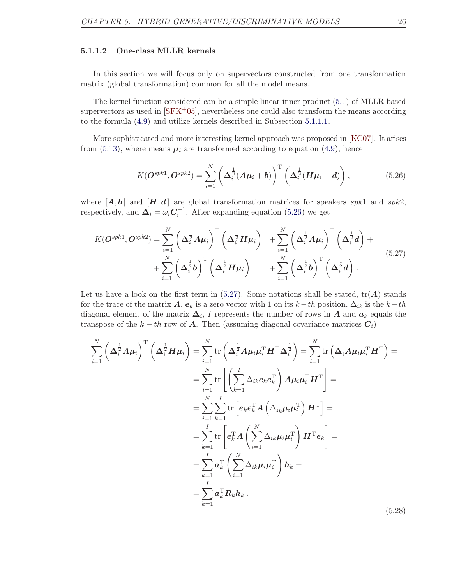#### <span id="page-31-2"></span>5.1.1.2 One-class MLLR kernels

In this section we will focus only on supervectors constructed from one transformation matrix (global transformation) common for all the model means.

The kernel function considered can be a simple linear inner product [\(5.1\)](#page-26-2) of MLLR based supervectors as used in  $\text{SFK}^+05$ , nevertheless one could also transform the means according to the formula [\(4.9\)](#page-21-6) and utilize kernels described in Subsection [5.1.1.1.](#page-29-2)

More sophisticated and more interesting kernel approach was proposed in [\[KC07\]](#page-47-8). It arises from [\(5.13\)](#page-29-3), where means  $\mu_i$  are transformed according to equation [\(4.9\)](#page-21-6), hence

<span id="page-31-0"></span>
$$
K(\boldsymbol{O}^{spk1},\boldsymbol{O}^{spk2})=\sum_{i=1}^N\left(\boldsymbol{\Delta}_i^{\frac{1}{2}}(\boldsymbol{A}\boldsymbol{\mu}_i+\boldsymbol{b})\right)^T\left(\boldsymbol{\Delta}_i^{\frac{1}{2}}(\boldsymbol{H}\boldsymbol{\mu}_i+\boldsymbol{d})\right),
$$
(5.26)

where  $[A, b]$  and  $[H, d]$  are global transformation matrices for speakers spk1 and spk2, respectively, and  $\Delta_i = \omega_i C_i^{-1}$ . After expanding equation [\(5.26\)](#page-31-0) we get

<span id="page-31-1"></span>
$$
K(\boldsymbol{O}^{spk1},\boldsymbol{O}^{spk2}) = \sum_{i=1}^{N} \left(\boldsymbol{\Delta}_{i}^{\frac{1}{2}}\boldsymbol{A}\boldsymbol{\mu}_{i}\right)^{\mathrm{T}}\left(\boldsymbol{\Delta}_{i}^{\frac{1}{2}}\boldsymbol{H}\boldsymbol{\mu}_{i}\right) + \sum_{i=1}^{N} \left(\boldsymbol{\Delta}_{i}^{\frac{1}{2}}\boldsymbol{A}\boldsymbol{\mu}_{i}\right)^{\mathrm{T}}\left(\boldsymbol{\Delta}_{i}^{\frac{1}{2}}\boldsymbol{d}\right) + \\ + \sum_{i=1}^{N} \left(\boldsymbol{\Delta}_{i}^{\frac{1}{2}}\boldsymbol{b}\right)^{\mathrm{T}}\left(\boldsymbol{\Delta}_{i}^{\frac{1}{2}}\boldsymbol{H}\boldsymbol{\mu}_{i}\right) + \sum_{i=1}^{N} \left(\boldsymbol{\Delta}_{i}^{\frac{1}{2}}\boldsymbol{b}\right)^{\mathrm{T}}\left(\boldsymbol{\Delta}_{i}^{\frac{1}{2}}\boldsymbol{d}\right).
$$
\n(5.27)

Let us have a look on the first term in  $(5.27)$ . Some notations shall be stated,  $tr(A)$  stands for the trace of the matrix A,  $e_k$  is a zero vector with 1 on its  $k-th$  position,  $\Delta_{ik}$  is the  $k-th$ diagonal element of the matrix  $\Delta_i$ , I represents the number of rows in A and  $a_k$  equals the transpose of the  $k - th$  row of **A**. Then (assuming diagonal covariance matrices  $C_i$ )

$$
\sum_{i=1}^{N} \left( \Delta_i^{\frac{1}{2}} A \mu_i \right)^{\mathrm{T}} \left( \Delta_i^{\frac{1}{2}} H \mu_i \right) = \sum_{i=1}^{N} \mathrm{tr} \left( \Delta_i^{\frac{1}{2}} A \mu_i \mu_i^{\mathrm{T}} H^{\mathrm{T}} \Delta_i^{\frac{1}{2}} \right) = \sum_{i=1}^{N} \mathrm{tr} \left( \Delta_i A \mu_i \mu_i^{\mathrm{T}} H^{\mathrm{T}} \right) =
$$
\n
$$
= \sum_{i=1}^{N} \mathrm{tr} \left[ \left( \sum_{k=1}^{I} \Delta_{ik} e_k e_k^{\mathrm{T}} \right) A \mu_i \mu_i^{\mathrm{T}} H^{\mathrm{T}} \right] =
$$
\n
$$
= \sum_{i=1}^{N} \sum_{k=1}^{I} \mathrm{tr} \left[ e_k e_k^{\mathrm{T}} A \left( \Delta_{ik} \mu_i \mu_i^{\mathrm{T}} \right) H^{\mathrm{T}} \right] =
$$
\n
$$
= \sum_{k=1}^{I} \mathrm{tr} \left[ e_k^{\mathrm{T}} A \left( \sum_{i=1}^{N} \Delta_{ik} \mu_i \mu_i^{\mathrm{T}} \right) H^{\mathrm{T}} e_k \right] =
$$
\n
$$
= \sum_{k=1}^{I} a_k^{\mathrm{T}} \left( \sum_{i=1}^{N} \Delta_{ik} \mu_i \mu_i^{\mathrm{T}} \right) h_k =
$$
\n
$$
= \sum_{k=1}^{I} a_k^{\mathrm{T}} R_k h_k.
$$
\n(5.28)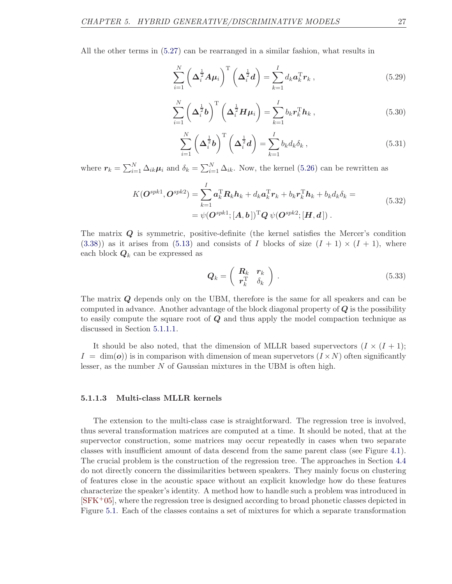All the other terms in [\(5.27\)](#page-31-1) can be rearranged in a similar fashion, what results in

$$
\sum_{i=1}^{N} \left( \Delta_i^{\frac{1}{2}} A \mu_i \right)^{\mathrm{T}} \left( \Delta_i^{\frac{1}{2}} d \right) = \sum_{k=1}^{I} d_k a_k^{\mathrm{T}} r_k , \qquad (5.29)
$$

$$
\sum_{i=1}^{N} \left( \Delta_i^{\frac{1}{2}} b \right)^{\mathrm{T}} \left( \Delta_i^{\frac{1}{2}} H \mu_i \right) = \sum_{k=1}^{I} b_k r_k^{\mathrm{T}} h_k , \qquad (5.30)
$$

$$
\sum_{i=1}^{N} \left( \Delta_i^{\frac{1}{2}} b \right)^{\mathrm{T}} \left( \Delta_i^{\frac{1}{2}} d \right) = \sum_{k=1}^{I} b_k d_k \delta_k , \qquad (5.31)
$$

where  $r_k = \sum_{i=1}^{N} \Delta_{ik} \mu_i$  and  $\delta_k = \sum_{i=1}^{N} \Delta_{ik}$ . Now, the kernel [\(5.26\)](#page-31-0) can be rewritten as

$$
K(\boldsymbol{O}^{spk1},\boldsymbol{O}^{spk2}) = \sum_{k=1}^{I} \boldsymbol{a}_{k}^{\mathrm{T}} \boldsymbol{R}_{k} \boldsymbol{h}_{k} + d_{k} \boldsymbol{a}_{k}^{\mathrm{T}} \boldsymbol{r}_{k} + b_{k} \boldsymbol{r}_{k}^{\mathrm{T}} \boldsymbol{h}_{k} + b_{k} d_{k} \delta_{k} =
$$
\n
$$
= \psi(\boldsymbol{O}^{spk1};[\boldsymbol{A},\boldsymbol{b}])^{\mathrm{T}} \boldsymbol{Q} \ \psi(\boldsymbol{O}^{spk2};[\boldsymbol{H},\boldsymbol{d}]).
$$
\n(5.32)

The matrix Q is symmetric, positive-definite (the kernel satisfies the Mercer's condition  $(3.38)$ ) as it arises from  $(5.13)$  and consists of I blocks of size  $(I + 1) \times (I + 1)$ , where each block  $Q_k$  can be expressed as

<span id="page-32-0"></span>
$$
\mathbf{Q}_k = \left( \begin{array}{cc} \mathbf{R}_k & \mathbf{r}_k \\ \mathbf{r}_k^{\mathrm{T}} & \delta_k \end{array} \right) . \tag{5.33}
$$

The matrix Q depends only on the UBM, therefore is the same for all speakers and can be computed in advance. Another advantage of the block diagonal property of  $Q$  is the possibility to easily compute the square root of  $Q$  and thus apply the model compaction technique as discussed in Section [5.1.1.1.](#page-29-2)

It should be also noted, that the dimension of MLLR based supervectors  $(I \times (I + 1);$  $I = \dim(o)$  is in comparison with dimension of mean supervetors  $(I \times N)$  often significantly lesser, as the number  $N$  of Gaussian mixtures in the UBM is often high.

#### 5.1.1.3 Multi-class MLLR kernels

The extension to the multi-class case is straightforward. The regression tree is involved, thus several transformation matrices are computed at a time. It should be noted, that at the supervector construction, some matrices may occur repeatedly in cases when two separate classes with insufficient amount of data descend from the same parent class (see Figure [4.1\)](#page-24-1). The crucial problem is the construction of the regression tree. The approaches in Section [4.4](#page-24-0) do not directly concern the dissimilarities between speakers. They mainly focus on clustering of features close in the acoustic space without an explicit knowledge how do these features characterize the speaker's identity. A method how to handle such a problem was introduced in  $[$ SFK<sup>+</sup>05<sup> $]$ </sup>, where the regression tree is designed according to broad phonetic classes depicted in Figure [5.1.](#page-33-0) Each of the classes contains a set of mixtures for which a separate transformation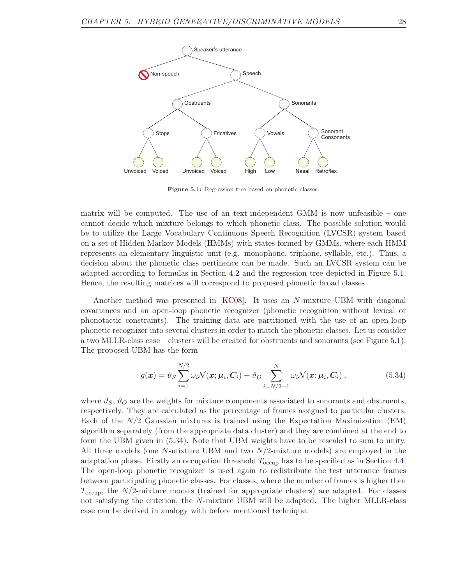<span id="page-33-0"></span>

Figure 5.1: Regression tree based on phonetic classes.

matrix will be computed. The use of an text-independent GMM is now unfeasible – one cannot decide which mixture belongs to which phonetic class. The possible solution would be to utilize the Large Vocabulary Continuous Speech Recognition (LVCSR) system based on a set of Hidden Markov Models (HMMs) with states formed by GMMs, where each HMM represents an elementary linguistic unit (e.g. monophone, triphone, syllable, etc.). Thus, a decision about the phonetic class pertinence can be made. Such an LVCSR system can be adapted according to formulas in Section [4.2](#page-21-1) and the regression tree depicted in Figure [5.1.](#page-33-0) Hence, the resulting matrices will correspond to proposed phonetic broad classes.

Another method was presented in [\[KC08\]](#page-47-9). It uses an N-mixture UBM with diagonal covariances and an open-loop phonetic recognizer (phonetic recognition without lexical or phonotactic constraints). The training data are partitioned with the use of an open-loop phonetic recognizer into several clusters in order to match the phonetic classes. Let us consider a two MLLR-class case – clusters will be created for obstruents and sonorants (see Figure [5.1\)](#page-33-0). The proposed UBM has the form

<span id="page-33-1"></span>
$$
g(\boldsymbol{x}) = \vartheta_S \sum_{i=1}^{N/2} \omega_i \mathcal{N}(\boldsymbol{x}; \boldsymbol{\mu}_i, \boldsymbol{C}_i) + \vartheta_O \sum_{i=N/2+1}^{N} \omega_i \mathcal{N}(\boldsymbol{x}; \boldsymbol{\mu}_i, \boldsymbol{C}_i) ,
$$
 (5.34)

where  $\vartheta_S$ ,  $\vartheta_O$  are the weights for mixture components associated to sonorants and obstruents, respectively. They are calculated as the percentage of frames assigned to particular clusters. Each of the  $N/2$  Gaussian mixtures is trained using the Expectation Maximization (EM) algorithm separately (from the appropriate data cluster) and they are combined at the end to form the UBM given in [\(5.34\)](#page-33-1). Note that UBM weights have to be rescaled to sum to unity. All three models (one N-mixture UBM and two N/2-mixture models) are employed in the adaptation phase. Firstly an occupation threshold  $T_{\text{occup}}$  has to be specified as in Section [4.4.](#page-24-0) The open-loop phonetic recognizer is used again to redistribute the test utterance frames between participating phonetic classes. For classes, where the number of frames is higher then  $T_{\text{occup}}$ , the  $N/2$ -mixture models (trained for appropriate clusters) are adapted. For classes not satisfying the criterion, the N-mixture UBM will be adapted. The higher MLLR-class case can be derived in analogy with before mentioned technique.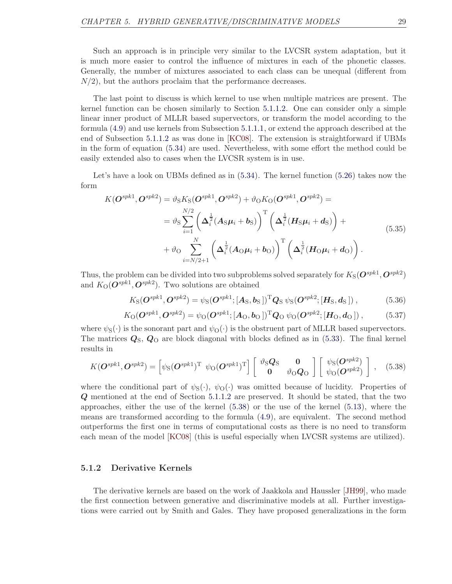Such an approach is in principle very similar to the LVCSR system adaptation, but it is much more easier to control the influence of mixtures in each of the phonetic classes. Generally, the number of mixtures associated to each class can be unequal (different from  $N/2$ , but the authors proclaim that the performance decreases.

The last point to discuss is which kernel to use when multiple matrices are present. The kernel function can be chosen similarly to Section [5.1.1.2.](#page-31-2) One can consider only a simple linear inner product of MLLR based supervectors, or transform the model according to the formula [\(4.9\)](#page-21-6) and use kernels from Subsection [5.1.1.1,](#page-29-2) or extend the approach described at the end of Subsection [5.1.1.2](#page-31-2) as was done in [\[KC08\]](#page-47-9). The extension is straightforward if UBMs in the form of equation [\(5.34\)](#page-33-1) are used. Nevertheless, with some effort the method could be easily extended also to cases when the LVCSR system is in use.

Let's have a look on UBMs defined as in  $(5.34)$ . The kernel function  $(5.26)$  takes now the form

$$
K(\boldsymbol{O}^{spk1},\boldsymbol{O}^{spk2}) = \vartheta_{\rm S}K_{\rm S}(\boldsymbol{O}^{spk1},\boldsymbol{O}^{spk2}) + \vartheta_{\rm O}K_{\rm O}(\boldsymbol{O}^{spk1},\boldsymbol{O}^{spk2}) =
$$
  
\n
$$
= \vartheta_{\rm S} \sum_{i=1}^{N/2} \left( \Delta_i^{\frac{1}{2}} (\mathbf{A}_{\rm S} \boldsymbol{\mu}_i + \boldsymbol{b}_{\rm S}) \right)^{\rm T} \left( \Delta_i^{\frac{1}{2}} (\mathbf{H}_{\rm S} \boldsymbol{\mu}_i + \boldsymbol{d}_{\rm S}) \right) +
$$
  
\n
$$
+ \vartheta_{\rm O} \sum_{i=N/2+1}^{N} \left( \Delta_i^{\frac{1}{2}} (\mathbf{A}_{\rm O} \boldsymbol{\mu}_i + \boldsymbol{b}_{\rm O}) \right)^{\rm T} \left( \Delta_i^{\frac{1}{2}} (\mathbf{H}_{\rm O} \boldsymbol{\mu}_i + \boldsymbol{d}_{\rm O}) \right).
$$
  
\n(5.35)

Thus, the problem can be divided into two subproblems solved separately for  $K_{\rm S}(\bm{O}^{spk1},\bm{O}^{spk2})$ and  $K_O(\mathbf{O}^{spk1}, \mathbf{O}^{spk2})$ . Two solutions are obtained

$$
K_{\rm S}(\boldsymbol{O}^{spk1},\boldsymbol{O}^{spk2})=\psi_{\rm S}(\boldsymbol{O}^{spk1};[A_{\rm S},b_{\rm S}])^{\rm T}\boldsymbol{Q}_{\rm S}\,\psi_{\rm S}(\boldsymbol{O}^{spk2};[H_{\rm S},d_{\rm S}]),\qquad(5.36)
$$

$$
K_{\rm O}(\mathbf{O}^{spk1}, \mathbf{O}^{spk2}) = \psi_{\rm O}(\mathbf{O}^{spk1}; [A_{\rm O}, b_{\rm O}])^{\rm T} \mathbf{Q}_{\rm O} \psi_{\rm O}(\mathbf{O}^{spk2}; [H_{\rm O}, d_{\rm O}]), \tag{5.37}
$$

where  $\psi_{S}(\cdot)$  is the sonorant part and  $\psi_{O}(\cdot)$  is the obstruent part of MLLR based supervectors. The matrices  $Q_{\rm S}$ ,  $Q_{\rm O}$  are block diagonal with blocks defined as in [\(5.33\)](#page-32-0). The final kernel results in

<span id="page-34-1"></span>
$$
K(\boldsymbol{O}^{spk1},\boldsymbol{O}^{spk2}) = \left[\psi_{\rm S}(\boldsymbol{O}^{spk1})^{\rm T} \ \psi_{\rm O}(\boldsymbol{O}^{spk1})^{\rm T}\right] \left[\begin{array}{cc} \vartheta_{\rm S}\boldsymbol{Q}_{\rm S} & \mathbf{0} \\ \mathbf{0} & \vartheta_{\rm O}\boldsymbol{Q}_{\rm O} \end{array}\right] \left[\begin{array}{cc} \psi_{\rm S}(\boldsymbol{O}^{spk2}) \\ \psi_{\rm O}(\boldsymbol{O}^{spk2}) \end{array}\right], \quad (5.38)
$$

where the conditional part of  $\psi_{S}(\cdot), \psi_{O}(\cdot)$  was omitted because of lucidity. Properties of Q mentioned at the end of Section [5.1.1.2](#page-31-2) are preserved. It should be stated, that the two approaches, either the use of the kernel [\(5.38\)](#page-34-1) or the use of the kernel [\(5.13\)](#page-29-3), where the means are transformed according to the formula [\(4.9\)](#page-21-6), are equivalent. The second method outperforms the first one in terms of computational costs as there is no need to transform each mean of the model [\[KC08\]](#page-47-9) (this is useful especially when LVCSR systems are utilized).

### <span id="page-34-0"></span>5.1.2 Derivative Kernels

The derivative kernels are based on the work of Jaakkola and Haussler [\[JH99\]](#page-46-7), who made the first connection between generative and discriminative models at all. Further investigations were carried out by Smith and Gales. They have proposed generalizations in the form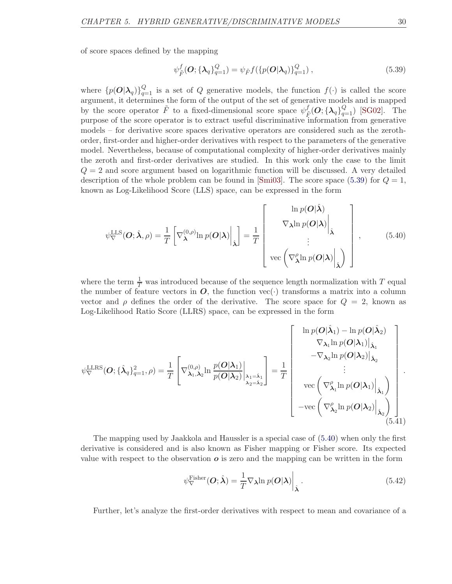of score spaces defined by the mapping

<span id="page-35-0"></span>
$$
\psi_{\tilde{F}}^f(\mathbf{O}; {\{\lambda_q\}}_{q=1}^Q) = \psi_{\tilde{F}} f({p(\mathbf{O}|\lambda_q)}_{q=1}^Q) ,
$$
\n(5.39)

where  $\{p(\boldsymbol{O}|\boldsymbol{\lambda}_q)\}_{q=1}^Q$  is a set of Q generative models, the function  $f(\cdot)$  is called the score argument, it determines the form of the output of the set of generative models and is mapped by the score operator  $\tilde{F}$  to a fixed-dimensional score space  $\psi_i^f$  $\frac{f}{\tilde{F}}(O; {\{\lambda_q\}}_{q=1}^Q)$  [\[SG02\]](#page-48-6). The purpose of the score operator is to extract useful discriminative information from generative models – for derivative score spaces derivative operators are considered such as the zerothorder, first-order and higher-order derivatives with respect to the parameters of the generative model. Nevertheless, because of computational complexity of higher-order derivatives mainly the zeroth and first-order derivatives are studied. In this work only the case to the limit  $Q = 2$  and score argument based on logarithmic function will be discussed. A very detailed description of the whole problem can be found in  $|\text{Smi03}|$ . The score space [\(5.39\)](#page-35-0) for  $Q = 1$ , known as Log-Likelihood Score (LLS) space, can be expressed in the form

<span id="page-35-1"></span>
$$
\psi_{\nabla}^{\text{LLS}}(\boldsymbol{O}; \hat{\boldsymbol{\lambda}}, \rho) = \frac{1}{T} \left[ \nabla_{\boldsymbol{\lambda}}^{(0,\rho)} \ln p(\boldsymbol{O}|\boldsymbol{\lambda}) \Big|_{\hat{\boldsymbol{\lambda}}} \right] = \frac{1}{T} \left[ \nabla_{\boldsymbol{\lambda}}^{\ln p(\boldsymbol{O}|\boldsymbol{\lambda})} \Big|_{\hat{\boldsymbol{\lambda}}} \right], \quad (5.40)
$$
\n
$$
\text{vec} \left( \nabla_{\boldsymbol{\lambda}}^{\rho} \ln p(\boldsymbol{O}|\boldsymbol{\lambda}) \Big|_{\hat{\boldsymbol{\lambda}}} \right],
$$

where the term  $\frac{1}{T}$  was introduced because of the sequence length normalization with T equal the number of feature vectors in  $O$ , the function vec( $\cdot$ ) transforms a matrix into a column vector and  $\rho$  defines the order of the derivative. The score space for  $Q = 2$ , known as Log-Likelihood Ratio Score (LLRS) space, can be expressed in the form

<span id="page-35-3"></span>
$$
\psi_{\nabla}^{\text{LLRS}}(O; \{\hat{\lambda}_q\}_{q=1}^2, \rho) = \frac{1}{T} \left[ \nabla_{\lambda_1, \lambda_2}^{(0, \rho)} \ln \frac{p(O|\lambda_1)}{p(O|\lambda_2)} \bigg|_{\lambda_1 = \hat{\lambda}_1} \right] = \frac{1}{T} \left[ \nabla_{\lambda_2}^{(0, \rho)} \ln \frac{p(O|\lambda_1)}{p(O|\lambda_2)} \bigg|_{\lambda_2 = \hat{\lambda}_2} \right] \cdot \text{vec} \left( \nabla_{\lambda_1}^{\rho} \ln p(O|\lambda_1) \bigg|_{\hat{\lambda}_1} \right] \cdot \text{vec} \left( \nabla_{\lambda_2}^{\rho} \ln p(O|\lambda_1) \bigg|_{\hat{\lambda}_1} \right) \cdot \text{vec} \left( \nabla_{\lambda_2}^{\rho} \ln p(O|\lambda_2) \bigg|_{\hat{\lambda}_2} \right) \right].
$$
\n(5.41)

The mapping used by Jaakkola and Haussler is a special case of [\(5.40\)](#page-35-1) when only the first derivative is considered and is also known as Fisher mapping or Fisher score. Its expected value with respect to the observation  $\boldsymbol{o}$  is zero and the mapping can be written in the form

<span id="page-35-2"></span>
$$
\psi_{\nabla}^{\text{Fisher}}(\boldsymbol{O};\hat{\boldsymbol{\lambda}}) = \frac{1}{T} \nabla_{\boldsymbol{\lambda}} \ln p(\boldsymbol{O}|\boldsymbol{\lambda}) \Big|_{\hat{\boldsymbol{\lambda}}}. \tag{5.42}
$$

Further, let's analyze the first-order derivatives with respect to mean and covariance of a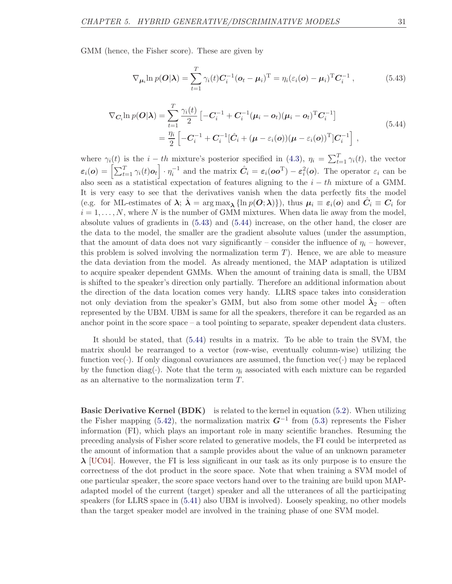GMM (hence, the Fisher score). These are given by

<span id="page-36-0"></span>
$$
\nabla_{\mu_i} \ln p(\boldsymbol{O}|\boldsymbol{\lambda}) = \sum_{t=1}^T \gamma_i(t) \boldsymbol{C}_i^{-1} (\boldsymbol{o}_t - \boldsymbol{\mu}_i)^{\mathrm{T}} = \eta_i (\varepsilon_i(\boldsymbol{o}) - \boldsymbol{\mu}_i)^{\mathrm{T}} \boldsymbol{C}_i^{-1}, \qquad (5.43)
$$

<span id="page-36-1"></span>
$$
\nabla_{\mathbf{C}_{i}} \ln p(\mathbf{O}|\mathbf{\lambda}) = \sum_{t=1}^{T} \frac{\gamma_{i}(t)}{2} \left[ -\mathbf{C}_{i}^{-1} + \mathbf{C}_{i}^{-1} (\boldsymbol{\mu}_{i} - \boldsymbol{o}_{t}) (\boldsymbol{\mu}_{i} - \boldsymbol{o}_{t})^{T} \mathbf{C}_{i}^{-1} \right]
$$
\n
$$
= \frac{\eta_{i}}{2} \left[ -\mathbf{C}_{i}^{-1} + \mathbf{C}_{i}^{-1} [\hat{\mathbf{C}}_{i} + (\boldsymbol{\mu} - \varepsilon_{i}(\boldsymbol{o})) (\boldsymbol{\mu} - \varepsilon_{i}(\boldsymbol{o}))^{T} ] \mathbf{C}_{i}^{-1} \right],
$$
\n(5.44)

where  $\gamma_i(t)$  is the  $i-th$  mixture's posterior specified in [\(4.3\)](#page-20-2),  $\eta_i = \sum_{t=1}^T \gamma_i(t)$ , the vector  $\varepsilon_i(o) = \left[ \sum_{t=1}^T \gamma_i(t) o_t \right] \cdot \eta_i^{-1}$  and the matrix  $\hat{C}_i = \varepsilon_i(oo^{\mathrm{T}}) - \varepsilon_i^2(o)$ . The operator  $\varepsilon_i$  can be also seen as a statistical expectation of features aligning to the  $i - th$  mixture of a GMM. It is very easy to see that the derivatives vanish when the data perfectly fits the model (e.g. for ML-estimates of  $\lambda$ ;  $\hat{\lambda} = \arg \max_{\lambda} {\ln p(O; \lambda)}$ , thus  $\mu_i \equiv \varepsilon_i(o)$  and  $\hat{C}_i \equiv C_i$  for  $i = 1, \ldots, N$ , where N is the number of GMM mixtures. When data lie away from the model, absolute values of gradients in [\(5.43\)](#page-36-0) and [\(5.44\)](#page-36-1) increase, on the other hand, the closer are the data to the model, the smaller are the gradient absolute values (under the assumption, that the amount of data does not vary significantly – consider the influence of  $\eta_i$  – however, this problem is solved involving the normalization term  $T$ ). Hence, we are able to measure the data deviation from the model. As already mentioned, the MAP adaptation is utilized to acquire speaker dependent GMMs. When the amount of training data is small, the UBM is shifted to the speaker's direction only partially. Therefore an additional information about the direction of the data location comes very handy. LLRS space takes into consideration not only deviation from the speaker's GMM, but also from some other model  $\hat{\lambda}_2$  – often represented by the UBM. UBM is same for all the speakers, therefore it can be regarded as an anchor point in the score space – a tool pointing to separate, speaker dependent data clusters.

It should be stated, that [\(5.44\)](#page-36-1) results in a matrix. To be able to train the SVM, the matrix should be rearranged to a vector (row-wise, eventually column-wise) utilizing the function  $\text{vec}(\cdot)$ . If only diagonal covariances are assumed, the function  $\text{vec}(\cdot)$  may be replaced by the function diag( $\cdot$ ). Note that the term  $\eta_i$  associated with each mixture can be regarded as an alternative to the normalization term T.

**Basic Derivative Kernel (BDK)** is related to the kernel in equation [\(5.2\)](#page-27-1). When utilizing the Fisher mapping [\(5.42\)](#page-35-2), the normalization matrix  $G^{-1}$  from [\(5.3\)](#page-27-2) represents the Fisher information (FI), which plays an important role in many scientific branches. Resuming the preceding analysis of Fisher score related to generative models, the FI could be interpreted as the amount of information that a sample provides about the value of an unknown parameter  $\lambda$  [\[UC04\]](#page-49-6). However, the FI is less significant in our task as its only purpose is to ensure the correctness of the dot product in the score space. Note that when training a SVM model of one particular speaker, the score space vectors hand over to the training are build upon MAPadapted model of the current (target) speaker and all the utterances of all the participating speakers (for LLRS space in [\(5.41\)](#page-35-3) also UBM is involved). Loosely speaking, no other models than the target speaker model are involved in the training phase of one SVM model.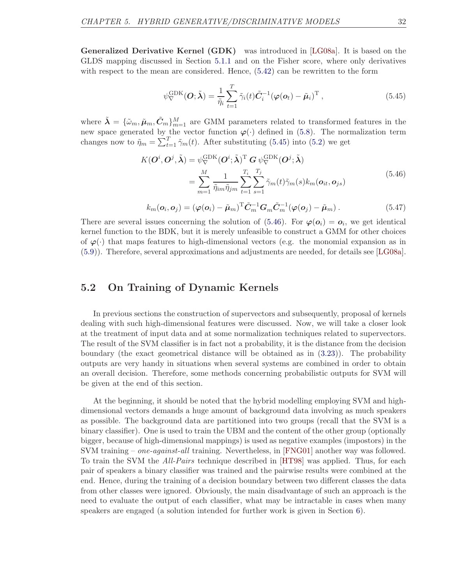Generalized Derivative Kernel (GDK) was introduced in [\[LG08a\]](#page-47-10). It is based on the GLDS mapping discussed in Section [5.1.1](#page-27-0) and on the Fisher score, where only derivatives with respect to the mean are considered. Hence,  $(5.42)$  can be rewritten to the form

<span id="page-37-1"></span>
$$
\psi_{\nabla}^{\text{GDK}}(\boldsymbol{O}; \tilde{\boldsymbol{\lambda}}) = \frac{1}{\tilde{\eta}_i} \sum_{t=1}^{T} \tilde{\gamma}_i(t) \tilde{\boldsymbol{C}}_i^{-1} (\boldsymbol{\varphi}(\boldsymbol{o}_t) - \tilde{\boldsymbol{\mu}}_i)^{\text{T}},
$$
\n(5.45)

where  $\tilde{\bm{\lambda}} = \{\tilde{\omega}_m, \tilde{\mu}_m, \tilde{C}_m\}_{m=1}^M$  are GMM parameters related to transformed features in the new space generated by the vector function  $\varphi(\cdot)$  defined in [\(5.8\)](#page-28-2). The normalization term changes now to  $\tilde{\eta}_m = \sum_{t=1}^T \tilde{\gamma}_m(t)$ . After substituting [\(5.45\)](#page-37-1) into [\(5.2\)](#page-27-1) we get

<span id="page-37-2"></span>
$$
K(\boldsymbol{O}^i, \boldsymbol{O}^j, \tilde{\boldsymbol{\lambda}}) = \psi_{\nabla}^{\text{GDK}}(\boldsymbol{O}^i; \tilde{\boldsymbol{\lambda}})^{\text{T}} \boldsymbol{G} \psi_{\nabla}^{\text{GDK}}(\boldsymbol{O}^j; \tilde{\boldsymbol{\lambda}})
$$
  
= 
$$
\sum_{m=1}^{M} \frac{1}{\tilde{\eta}_{im} \tilde{\eta}_{jm}} \sum_{t=1}^{T_i} \sum_{s=1}^{T_j} \tilde{\gamma}_m(t) \tilde{\gamma}_m(s) k_m(o_{it}, o_{js})
$$
(5.46)

$$
k_m(\boldsymbol{o}_i, \boldsymbol{o}_j) = (\varphi(\boldsymbol{o}_i) - \tilde{\boldsymbol{\mu}}_m)^{\mathrm{T}} \tilde{\boldsymbol{C}}_m^{-1} \boldsymbol{G}_m \tilde{\boldsymbol{C}}_m^{-1} (\varphi(\boldsymbol{o}_j) - \tilde{\boldsymbol{\mu}}_m). \tag{5.47}
$$

There are several issues concerning the solution of [\(5.46\)](#page-37-2). For  $\varphi(\mathbf{o}_i) = \mathbf{o}_i$ , we get identical kernel function to the BDK, but it is merely unfeasible to construct a GMM for other choices of  $\varphi(\cdot)$  that maps features to high-dimensional vectors (e.g. the monomial expansion as in [\(5.9\)](#page-28-0)). Therefore, several approximations and adjustments are needed, for details see [\[LG08a\]](#page-47-10).

### <span id="page-37-0"></span>5.2 On Training of Dynamic Kernels

In previous sections the construction of supervectors and subsequently, proposal of kernels dealing with such high-dimensional features were discussed. Now, we will take a closer look at the treatment of input data and at some normalization techniques related to supervectors. The result of the SVM classifier is in fact not a probability, it is the distance from the decision boundary (the exact geometrical distance will be obtained as in [\(3.23\)](#page-15-4)). The probability outputs are very handy in situations when several systems are combined in order to obtain an overall decision. Therefore, some methods concerning probabilistic outputs for SVM will be given at the end of this section.

At the beginning, it should be noted that the hybrid modelling employing SVM and highdimensional vectors demands a huge amount of background data involving as much speakers as possible. The background data are partitioned into two groups (recall that the SVM is a binary classifier). One is used to train the UBM and the content of the other group (optionally bigger, because of high-dimensional mappings) is used as negative examples (impostors) in the SVM training – one-against-all training. Nevertheless, in [\[FNG01\]](#page-46-10) another way was followed. To train the SVM the All-Pairs technique described in [\[HT98\]](#page-46-11) was applied. Thus, for each pair of speakers a binary classifier was trained and the pairwise results were combined at the end. Hence, during the training of a decision boundary between two different classes the data from other classes were ignored. Obviously, the main disadvantage of such an approach is the need to evaluate the output of each classifier, what may be intractable in cases when many speakers are engaged (a solution intended for further work is given in Section [6\)](#page-43-0).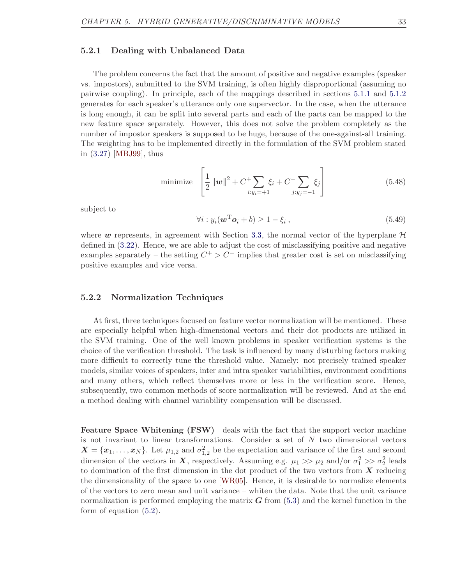#### <span id="page-38-0"></span>5.2.1 Dealing with Unbalanced Data

The problem concerns the fact that the amount of positive and negative examples (speaker vs. impostors), submitted to the SVM training, is often highly disproportional (assuming no pairwise coupling). In principle, each of the mappings described in sections [5.1.1](#page-27-0) and [5.1.2](#page-34-0) generates for each speaker's utterance only one supervector. In the case, when the utterance is long enough, it can be split into several parts and each of the parts can be mapped to the new feature space separately. However, this does not solve the problem completely as the number of impostor speakers is supposed to be huge, because of the one-against-all training. The weighting has to be implemented directly in the formulation of the SVM problem stated in [\(3.27\)](#page-16-5) [\[MBJ99\]](#page-47-11), thus

minimize 
$$
\left[\frac{1}{2} ||\mathbf{w}||^2 + C^+ \sum_{i:y_i=+1} \xi_i + C^- \sum_{j:y_j=-1} \xi_j\right]
$$
 (5.48)

subject to

$$
\forall i: y_i(\boldsymbol{w}^{\mathrm{T}}\boldsymbol{o}_i+b) \ge 1-\xi_i , \qquad (5.49)
$$

where w represents, in agreement with Section [3.3,](#page-15-0) the normal vector of the hyperplane  $\mathcal H$ defined in [\(3.22\)](#page-15-2). Hence, we are able to adjust the cost of misclassifying positive and negative examples separately – the setting  $C^+ > C^-$  implies that greater cost is set on misclassifying positive examples and vice versa.

#### <span id="page-38-1"></span>5.2.2 Normalization Techniques

At first, three techniques focused on feature vector normalization will be mentioned. These are especially helpful when high-dimensional vectors and their dot products are utilized in the SVM training. One of the well known problems in speaker verification systems is the choice of the verification threshold. The task is influenced by many disturbing factors making more difficult to correctly tune the threshold value. Namely: not precisely trained speaker models, similar voices of speakers, inter and intra speaker variabilities, environment conditions and many others, which reflect themselves more or less in the verification score. Hence, subsequently, two common methods of score normalization will be reviewed. And at the end a method dealing with channel variability compensation will be discussed.

Feature Space Whitening (FSW) deals with the fact that the support vector machine is not invariant to linear transformations. Consider a set of  $N$  two dimensional vectors  $\boldsymbol{X} = \{x_1, \ldots, x_N\}$ . Let  $\mu_{1,2}$  and  $\sigma_{1,2}^2$  be the expectation and variance of the first and second dimension of the vectors in X, respectively. Assuming e.g.  $\mu_1 \gg \mu_2$  and/or  $\sigma_1^2 \gg \sigma_2^2$  leads to domination of the first dimension in the dot product of the two vectors from  $X$  reducing the dimensionality of the space to one [\[WR05\]](#page-49-7). Hence, it is desirable to normalize elements of the vectors to zero mean and unit variance – whiten the data. Note that the unit variance normalization is performed employing the matrix  $G$  from  $(5.3)$  and the kernel function in the form of equation [\(5.2\)](#page-27-1).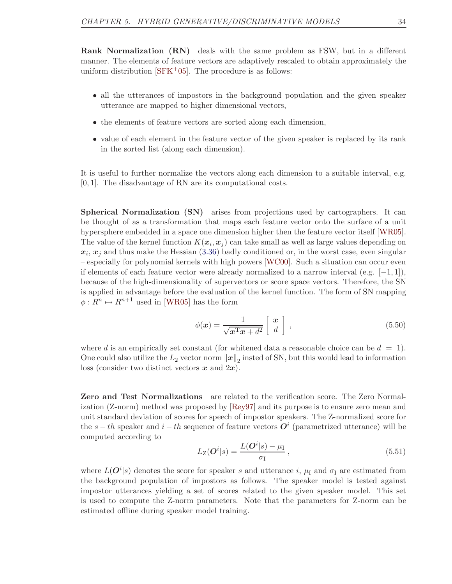Rank Normalization (RN) deals with the same problem as FSW, but in a different manner. The elements of feature vectors are adaptively rescaled to obtain approximately the uniform distribution  $[SFK^+05]$ . The procedure is as follows:

- all the utterances of impostors in the background population and the given speaker utterance are mapped to higher dimensional vectors,
- the elements of feature vectors are sorted along each dimension,
- value of each element in the feature vector of the given speaker is replaced by its rank in the sorted list (along each dimension).

It is useful to further normalize the vectors along each dimension to a suitable interval, e.g. [0, 1]. The disadvantage of RN are its computational costs.

Spherical Normalization (SN) arises from projections used by cartographers. It can be thought of as a transformation that maps each feature vector onto the surface of a unit hypersphere embedded in a space one dimension higher then the feature vector itself [\[WR05\]](#page-49-7). The value of the kernel function  $K(\boldsymbol{x}_i, \boldsymbol{x}_j)$  can take small as well as large values depending on  $x_i, x_j$  and thus make the Hessian [\(3.36\)](#page-18-3) badly conditioned or, in the worst case, even singular – especially for polynomial kernels with high powers [\[WC00\]](#page-49-8). Such a situation can occur even if elements of each feature vector were already normalized to a narrow interval (e.g.  $[-1, 1]$ ), because of the high-dimensionality of supervectors or score space vectors. Therefore, the SN is applied in advantage before the evaluation of the kernel function. The form of SN mapping  $\phi: R^n \mapsto R^{n+1}$  used in [\[WR05\]](#page-49-7) has the form

$$
\phi(\boldsymbol{x}) = \frac{1}{\sqrt{\boldsymbol{x}^{\mathrm{T}}\boldsymbol{x} + d^2}} \left[ \begin{array}{c} \boldsymbol{x} \\ d \end{array} \right] , \tag{5.50}
$$

where d is an empirically set constant (for whitened data a reasonable choice can be  $d = 1$ ). One could also utilize the  $L_2$  vector norm  $||x||_2$  insted of SN, but this would lead to information loss (consider two distinct vectors  $x$  and  $2x$ ).

Zero and Test Normalizations are related to the verification score. The Zero Normalization (Z-norm) method was proposed by [\[Rey97\]](#page-48-7) and its purpose is to ensure zero mean and unit standard deviation of scores for speech of impostor speakers. The Z-normalized score for the  $s-th$  speaker and  $i-th$  sequence of feature vectors  $\mathbf{O}^i$  (parametrized utterance) will be computed according to

$$
L_{\mathcal{Z}}(\boldsymbol{O}^{i}|s) = \frac{L(\boldsymbol{O}^{i}|s) - \mu_{\mathcal{I}}}{\sigma_{\mathcal{I}}},\tag{5.51}
$$

where  $L(\mathbf{O}^{i}|s)$  denotes the score for speaker s and utterance i,  $\mu_I$  and  $\sigma_I$  are estimated from the background population of impostors as follows. The speaker model is tested against impostor utterances yielding a set of scores related to the given speaker model. This set is used to compute the Z-norm parameters. Note that the parameters for Z-norm can be estimated offline during speaker model training.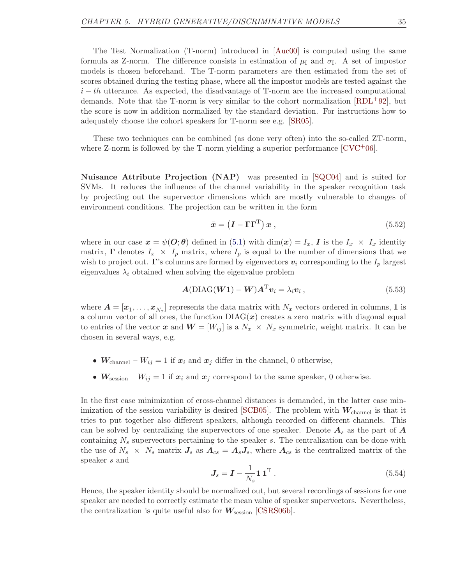The Test Normalization (T-norm) introduced in [\[Auc00\]](#page-45-8) is computed using the same formula as Z-norm. The difference consists in estimation of  $\mu_I$  and  $\sigma_I$ . A set of impostor models is chosen beforehand. The T-norm parameters are then estimated from the set of scores obtained during the testing phase, where all the impostor models are tested against the  $i - th$  utterance. As expected, the disadvantage of T-norm are the increased computational demands. Note that the T-norm is very similar to the cohort normalization  $[RDL+92]$ , but the score is now in addition normalized by the standard deviation. For instructions how to adequately choose the cohort speakers for T-norm see e.g. [\[SR05\]](#page-48-9).

These two techniques can be combined (as done very often) into the so-called ZT-norm, where Z-norm is followed by the T-norm yielding a superior performance  $[CVC^{+}06]$ .

Nuisance Attribute Projection (NAP) was presented in [\[SQC04\]](#page-48-10) and is suited for SVMs. It reduces the influence of the channel variability in the speaker recognition task by projecting out the supervector dimensions which are mostly vulnerable to changes of environment conditions. The projection can be written in the form

<span id="page-40-1"></span>
$$
\bar{\boldsymbol{x}} = \left(\boldsymbol{I} - \boldsymbol{\Gamma} \boldsymbol{\Gamma}^{\mathrm{T}}\right) \boldsymbol{x} \,,\tag{5.52}
$$

where in our case  $x = \psi(\mathbf{O}; \theta)$  defined in [\(5.1\)](#page-26-2) with  $\dim(x) = I_x$ , I is the  $I_x \times I_x$  identity matrix,  $\Gamma$  denotes  $I_x \times I_p$  matrix, where  $I_p$  is equal to the number of dimensions that we wish to project out. Γ's columns are formed by eigenvectors  $v_i$  corresponding to the  $I_p$  largest eigenvalues  $\lambda_i$  obtained when solving the eigenvalue problem

<span id="page-40-0"></span>
$$
A(\text{DIAG}(W1) - W)A^{\mathrm{T}}v_i = \lambda_i v_i, \qquad (5.53)
$$

where  $\bm{A}=[\bm{x}_1,\ldots,\bm{x}_{N_x}]$  represents the data matrix with  $N_x$  vectors ordered in columns, 1 is a column vector of all ones, the function  $DIAG(x)$  creates a zero matrix with diagonal equal to entries of the vector x and  $W = [W_{ij}]$  is a  $N_x \times N_x$  symmetric, weight matrix. It can be chosen in several ways, e.g.

- $W_{channel} W_{ij} = 1$  if  $x_i$  and  $x_j$  differ in the channel, 0 otherwise,
- $W_{\text{session}} W_{ij} = 1$  if  $x_i$  and  $x_j$  correspond to the same speaker, 0 otherwise.

In the first case minimization of cross-channel distances is demanded, in the latter case minimization of the session variability is desired  $\text{[SCB05]}$ . The problem with  $W_{\text{channel}}$  is that it tries to put together also different speakers, although recorded on different channels. This can be solved by centralizing the supervectors of one speaker. Denote  $A_s$  as the part of  $A$ containing  $N<sub>s</sub>$  supervectors pertaining to the speaker s. The centralization can be done with the use of  $N_s \times N_s$  matrix  $J_s$  as  $A_{cs} = A_s J_s$ , where  $A_{cs}$  is the centralized matrix of the speaker s and

$$
J_s = I - \frac{1}{N_s} \mathbf{1} \mathbf{1}^{\mathrm{T}}.
$$
\n
$$
(5.54)
$$

Hence, the speaker identity should be normalized out, but several recordings of sessions for one speaker are needed to correctly estimate the mean value of speaker supervectors. Nevertheless, the centralization is quite useful also for  $W_{\text{session}}$  [\[CSRS06b\]](#page-46-13).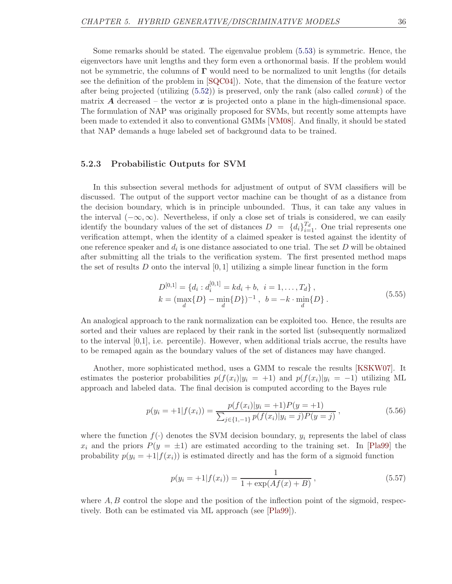Some remarks should be stated. The eigenvalue problem [\(5.53\)](#page-40-0) is symmetric. Hence, the eigenvectors have unit lengths and they form even a orthonormal basis. If the problem would not be symmetric, the columns of  $\Gamma$  would need to be normalized to unit lengths (for details see the definition of the problem in [\[SQC04\]](#page-48-10)). Note, that the dimension of the feature vector after being projected (utilizing  $(5.52)$ ) is preserved, only the rank (also called *corank*) of the matrix A decreased – the vector  $x$  is projected onto a plane in the high-dimensional space. The formulation of NAP was originally proposed for SVMs, but recently some attempts have been made to extended it also to conventional GMMs [\[VM08\]](#page-49-9). And finally, it should be stated that NAP demands a huge labeled set of background data to be trained.

#### <span id="page-41-0"></span>5.2.3 Probabilistic Outputs for SVM

In this subsection several methods for adjustment of output of SVM classifiers will be discussed. The output of the support vector machine can be thought of as a distance from the decision boundary, which is in principle unbounded. Thus, it can take any values in the interval  $(-\infty,\infty)$ . Nevertheless, if only a close set of trials is considered, we can easily identify the boundary values of the set of distances  $D = \{d_i\}_{i=1}^{T_d}$ . One trial represents one verification attempt, when the identity of a claimed speaker is tested against the identity of one reference speaker and  $d_i$  is one distance associated to one trial. The set D will be obtained after submitting all the trials to the verification system. The first presented method maps the set of results D onto the interval  $[0, 1]$  utilizing a simple linear function in the form

$$
D^{[0,1]} = \{d_i : d_i^{[0,1]} = kd_i + b, \ i = 1, ..., T_d\},
$$
  
\n
$$
k = (\max_d \{D\} - \min_d \{D\})^{-1}, \ b = -k \cdot \min_d \{D\}.
$$
\n(5.55)

An analogical approach to the rank normalization can be exploited too. Hence, the results are sorted and their values are replaced by their rank in the sorted list (subsequently normalized to the interval [0,1], i.e. percentile). However, when additional trials accrue, the results have to be remaped again as the boundary values of the set of distances may have changed.

Another, more sophisticated method, uses a GMM to rescale the results [\[KSKW07\]](#page-47-12). It estimates the posterior probabilities  $p(f(x_i)|y_i = +1)$  and  $p(f(x_i)|y_i = -1)$  utilizing ML approach and labeled data. The final decision is computed according to the Bayes rule

$$
p(y_i = +1|f(x_i)) = \frac{p(f(x_i)|y_i = +1)P(y = +1)}{\sum_{j \in \{1, -1\}} p(f(x_i)|y_i = j)P(y = j)},
$$
\n(5.56)

where the function  $f(\cdot)$  denotes the SVM decision boundary,  $y_i$  represents the label of class  $x_i$  and the priors  $P(y = \pm 1)$  are estimated according to the training set. In [\[Pla99\]](#page-48-12) the probability  $p(y_i = +1|f(x_i))$  is estimated directly and has the form of a sigmoid function

$$
p(y_i = +1|f(x_i)) = \frac{1}{1 + \exp(Af(x) + B)},
$$
\n(5.57)

where  $A, B$  control the slope and the position of the inflection point of the sigmoid, respectively. Both can be estimated via ML approach (see [\[Pla99\]](#page-48-12)).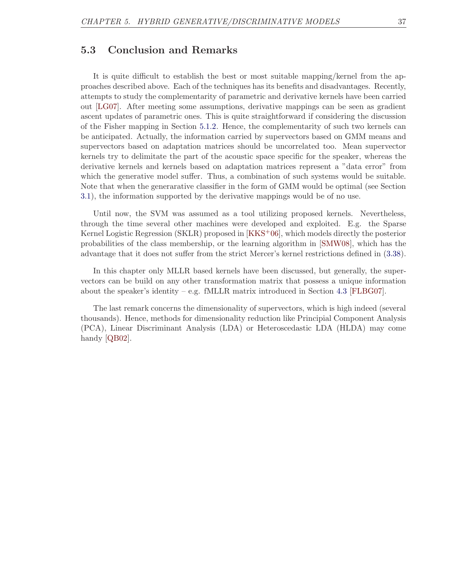### <span id="page-42-0"></span>5.3 Conclusion and Remarks

It is quite difficult to establish the best or most suitable mapping/kernel from the approaches described above. Each of the techniques has its benefits and disadvantages. Recently, attempts to study the complementarity of parametric and derivative kernels have been carried out [\[LG07\]](#page-47-3). After meeting some assumptions, derivative mappings can be seen as gradient ascent updates of parametric ones. This is quite straightforward if considering the discussion of the Fisher mapping in Section [5.1.2.](#page-34-0) Hence, the complementarity of such two kernels can be anticipated. Actually, the information carried by supervectors based on GMM means and supervectors based on adaptation matrices should be uncorrelated too. Mean supervector kernels try to delimitate the part of the acoustic space specific for the speaker, whereas the derivative kernels and kernels based on adaptation matrices represent a "data error" from which the generative model suffer. Thus, a combination of such systems would be suitable. Note that when the generarative classifier in the form of GMM would be optimal (see Section [3.1\)](#page-10-1), the information supported by the derivative mappings would be of no use.

Until now, the SVM was assumed as a tool utilizing proposed kernels. Nevertheless, through the time several other machines were developed and exploited. E.g. the Sparse Kernel Logistic Regression (SKLR) proposed in [\[KKS](#page-47-13)+06], which models directly the posterior probabilities of the class membership, or the learning algorithm in [\[SMW08\]](#page-48-13), which has the advantage that it does not suffer from the strict Mercer's kernel restrictions defined in [\(3.38\)](#page-18-1).

In this chapter only MLLR based kernels have been discussed, but generally, the supervectors can be build on any other transformation matrix that possess a unique information about the speaker's identity – e.g. fMLLR matrix introduced in Section [4.3](#page-22-0) [\[FLBG07\]](#page-46-14).

The last remark concerns the dimensionality of supervectors, which is high indeed (several thousands). Hence, methods for dimensionality reduction like Principial Component Analysis (PCA), Linear Discriminant Analysis (LDA) or Heteroscedastic LDA (HLDA) may come handy [\[QB02\]](#page-48-14).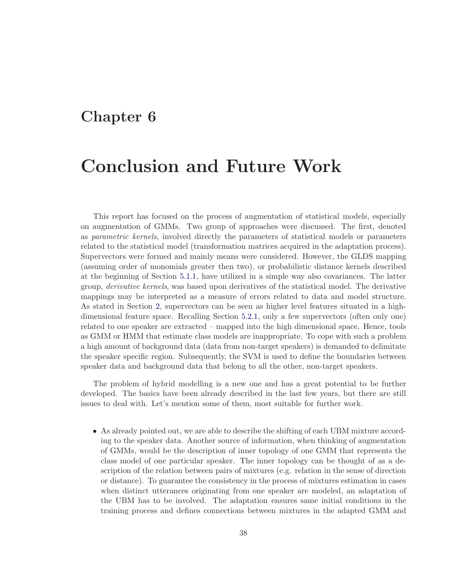### <span id="page-43-0"></span>Chapter 6

## Conclusion and Future Work

This report has focused on the process of augmentation of statistical models, especially on augmentation of GMMs. Two group of approaches were discussed. The first, denoted as parametric kernels, involved directly the parameters of statistical models or parameters related to the statistical model (transformation matrices acquired in the adaptation process). Supervectors were formed and mainly means were considered. However, the GLDS mapping (assuming order of monomials greater then two), or probabilistic distance kernels described at the beginning of Section [5.1.1,](#page-27-0) have utilized in a simple way also covariances. The latter group, derivative kernels, was based upon derivatives of the statistical model. The derivative mappings may be interpreted as a measure of errors related to data and model structure. As stated in Section [2,](#page-8-0) supervectors can be seen as higher level features situated in a highdimensional feature space. Recalling Section [5.2.1,](#page-38-0) only a few supervectors (often only one) related to one speaker are extracted – mapped into the high dimensional space. Hence, tools as GMM or HMM that estimate class models are inappropriate. To cope with such a problem a high amount of background data (data from non-target speakers) is demanded to delimitate the speaker specific region. Subsequently, the SVM is used to define the boundaries between speaker data and background data that belong to all the other, non-target speakers.

The problem of hybrid modelling is a new one and has a great potential to be further developed. The basics have been already described in the last few years, but there are still issues to deal with. Let's mention some of them, most suitable for further work.

• As already pointed out, we are able to describe the shifting of each UBM mixture according to the speaker data. Another source of information, when thinking of augmentation of GMMs, would be the description of inner topology of one GMM that represents the class model of one particular speaker. The inner topology can be thought of as a description of the relation between pairs of mixtures (e.g. relation in the sense of direction or distance). To guarantee the consistency in the process of mixtures estimation in cases when distinct utterances originating from one speaker are modeled, an adaptation of the UBM has to be involved. The adaptation ensures same initial conditions in the training process and defines connections between mixtures in the adapted GMM and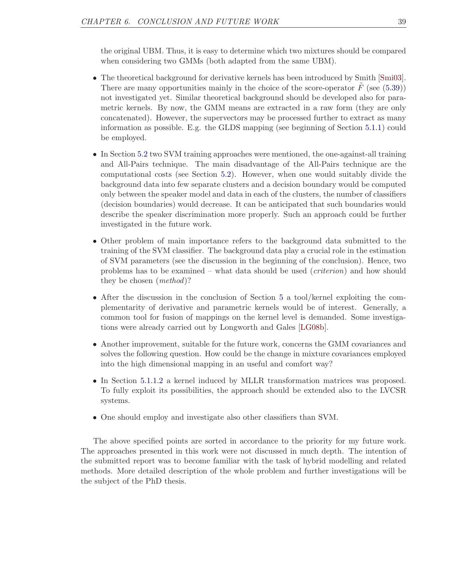the original UBM. Thus, it is easy to determine which two mixtures should be compared when considering two GMMs (both adapted from the same UBM).

- The theoretical background for derivative kernels has been introduced by Smith [\[Smi03\]](#page-48-0). There are many opportunities mainly in the choice of the score-operator  $F$  (see [\(5.39\)](#page-35-0)) not investigated yet. Similar theoretical background should be developed also for parametric kernels. By now, the GMM means are extracted in a raw form (they are only concatenated). However, the supervectors may be processed further to extract as many information as possible. E.g. the GLDS mapping (see beginning of Section [5.1.1\)](#page-27-0) could be employed.
- In Section [5.2](#page-37-0) two SVM training approaches were mentioned, the one-against-all training and All-Pairs technique. The main disadvantage of the All-Pairs technique are the computational costs (see Section [5.2\)](#page-37-0). However, when one would suitably divide the background data into few separate clusters and a decision boundary would be computed only between the speaker model and data in each of the clusters, the number of classifiers (decision boundaries) would decrease. It can be anticipated that such boundaries would describe the speaker discrimination more properly. Such an approach could be further investigated in the future work.
- Other problem of main importance refers to the background data submitted to the training of the SVM classifier. The background data play a crucial role in the estimation of SVM parameters (see the discussion in the beginning of the conclusion). Hence, two problems has to be examined – what data should be used (criterion) and how should they be chosen (method)?
- After the discussion in the conclusion of Section [5](#page-26-0) a tool/kernel exploiting the complementarity of derivative and parametric kernels would be of interest. Generally, a common tool for fusion of mappings on the kernel level is demanded. Some investigations were already carried out by Longworth and Gales [\[LG08b\]](#page-47-14).
- Another improvement, suitable for the future work, concerns the GMM covariances and solves the following question. How could be the change in mixture covariances employed into the high dimensional mapping in an useful and comfort way?
- In Section [5.1.1.2](#page-31-2) a kernel induced by MLLR transformation matrices was proposed. To fully exploit its possibilities, the approach should be extended also to the LVCSR systems.
- One should employ and investigate also other classifiers than SVM.

The above specified points are sorted in accordance to the priority for my future work. The approaches presented in this work were not discussed in much depth. The intention of the submitted report was to become familiar with the task of hybrid modelling and related methods. More detailed description of the whole problem and further investigations will be the subject of the PhD thesis.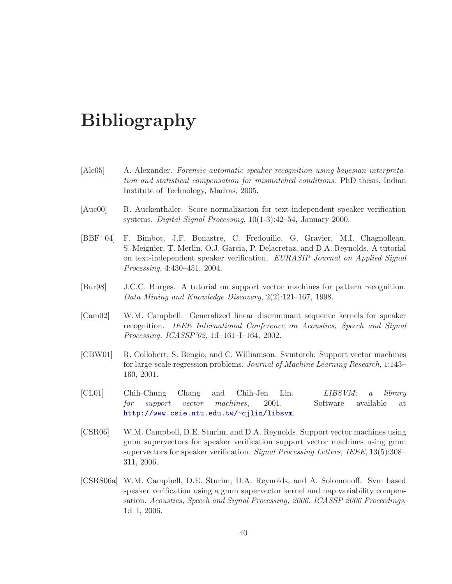# Bibliography

- <span id="page-45-4"></span>[Ale05] A. Alexander. Forensic automatic speaker recognition using bayesian interpretation and statistical compensation for mismatched conditions. PhD thesis, Indian Institute of Technology, Madras, 2005.
- <span id="page-45-8"></span>[Auc00] R. Auckenthaler. Score normalization for text-independent speaker verification systems. Digital Signal Processing, 10(1-3):42–54, January 2000.
- <span id="page-45-0"></span>[BBF+04] F. Bimbot, J.F. Bonastre, C. Fredouille, G. Gravier, M.I. Chagnolleau, S. Meignier, T. Merlin, O.J. Garcia, P. Delacretaz, and D.A. Reynolds. A tutorial on text-independent speaker verification. EURASIP Journal on Applied Signal Processing, 4:430–451, 2004.
- <span id="page-45-1"></span>[Bur98] J.C.C. Burges. A tutorial on support vector machines for pattern recognition. Data Mining and Knowledge Discovery, 2(2):121–167, 1998.
- <span id="page-45-6"></span>[Cam02] W.M. Campbell. Generalized linear discriminant sequence kernels for speaker recognition. IEEE International Conference on Acoustics, Speech and Signal Processing. ICASSP'02, 1:I–161–I–164, 2002.
- <span id="page-45-2"></span>[CBW01] R. Collobert, S. Bengio, and C. Williamson. Svmtorch: Support vector machines for large-scale regression problems. Journal of Machine Learning Research, 1:143– 160, 2001.
- <span id="page-45-3"></span>[CL01] Chih-Chung Chang and Chih-Jen Lin. LIBSVM: a library for support vector machines, 2001. Software available at <http://www.csie.ntu.edu.tw/~cjlin/libsvm>.
- <span id="page-45-7"></span>[CSR06] W.M. Campbell, D.E. Sturim, and D.A. Reynolds. Support vector machines using gmm supervectors for speaker verification support vector machines using gmm supervectors for speaker verification. Signal Processing Letters, IEEE, 13(5):308– 311, 2006.
- <span id="page-45-5"></span>[CSRS06a] W.M. Campbell, D.E. Sturim, D.A. Reynolds, and A. Solomonoff. Svm based speaker verification using a gmm supervector kernel and nap variability compensation. Acoustics, Speech and Signal Processing, 2006. ICASSP 2006 Proceedings, 1:I–I, 2006.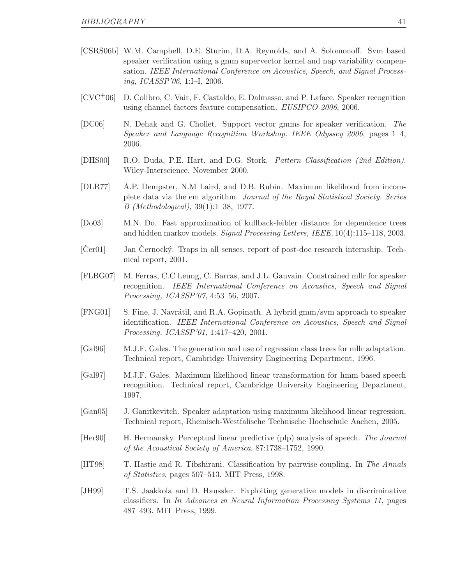- <span id="page-46-13"></span>[CSRS06b] W.M. Campbell, D.E. Sturim, D.A. Reynolds, and A. Solomonoff. Svm based speaker verification using a gmm supervector kernel and nap variability compensation. IEEE International Conference on Acoustics, Speech, and Signal Processing, ICASSP'06, 1:I–I, 2006.
- <span id="page-46-12"></span>[CVC+06] D. Colibro, C. Vair, F. Castaldo, E. Dalmasso, and P. Laface. Speaker recognition using channel factors feature compensation. EUSIPCO-2006, 2006.
- <span id="page-46-9"></span>[DC06] N. Dehak and G. Chollet. Support vector gmms for speaker verification. The Speaker and Language Recognition Workshop. IEEE Odyssey 2006, pages 1–4, 2006.
- <span id="page-46-2"></span>[DHS00] R.O. Duda, P.E. Hart, and D.G. Stork. Pattern Classification (2nd Edition). Wiley-Interscience, November 2000.
- <span id="page-46-3"></span>[DLR77] A.P. Dempster, N.M Laird, and D.B. Rubin. Maximum likelihood from incomplete data via the em algorithm. Journal of the Royal Statistical Society. Series B (Methodological), 39(1):1–38, 1977.
- <span id="page-46-8"></span>[Do03] M.N. Do. Fast approximation of kullback-leibler distance for dependence trees and hidden markov models. Signal Processing Letters, IEEE, 10(4):115–118, 2003.
- <span id="page-46-1"></span> $[\text{Cer01}]$  Jan  $\text{Cernocky}$ . Traps in all senses, report of post-doc research internship. Technical report, 2001.
- <span id="page-46-14"></span>[FLBG07] M. Ferras, C.C Leung, C. Barras, and J.L. Gauvain. Constrained mllr for speaker recognition. IEEE International Conference on Acoustics, Speech and Signal Processing, ICASSP'07, 4:53–56, 2007.
- <span id="page-46-10"></span>[FNG01] S. Fine, J. Navrátil, and R.A. Gopinath. A hybrid gmm/svm approach to speaker identification. IEEE International Conference on Acoustics, Speech and Signal Processing. ICASSP'01, 1:417–420, 2001.
- <span id="page-46-6"></span>[Gal96] M.J.F. Gales. The generation and use of regression class trees for mllr adaptation. Technical report, Cambridge University Engineering Department, 1996.
- <span id="page-46-4"></span>[Gal97] M.J.F. Gales. Maximum likelihood linear transformation for hmm-based speech recognition. Technical report, Cambridge University Engineering Department, 1997.
- <span id="page-46-5"></span>[Gan05] J. Ganitkevitch. Speaker adaptation using maximum likelihood linear regression. Technical report, Rheinisch-Westfalische Technische Hochschule Aachen, 2005.
- <span id="page-46-0"></span>[Her90] H. Hermansky. Perceptual linear predictive (plp) analysis of speech. The Journal of the Acoustical Society of America, 87:1738–1752, 1990.
- <span id="page-46-11"></span>[HT98] T. Hastie and R. Tibshirani. Classification by pairwise coupling. In The Annals of Statistics, pages 507–513. MIT Press, 1998.
- <span id="page-46-7"></span>[JH99] T.S. Jaakkola and D. Haussler. Exploiting generative models in discriminative classifiers. In In Advances in Neural Information Processing Systems 11, pages 487–493. MIT Press, 1999.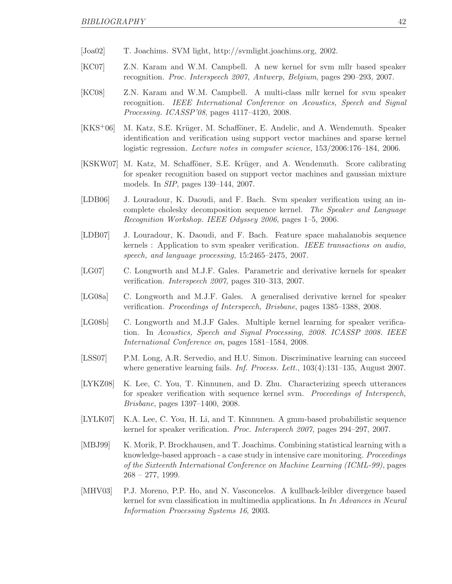- <span id="page-47-0"></span>[Joa02] T. Joachims. SVM light, http://svmlight.joachims.org, 2002.
- <span id="page-47-8"></span>[KC07] Z.N. Karam and W.M. Campbell. A new kernel for svm mllr based speaker recognition. Proc. Interspeech 2007, Antwerp, Belgium, pages 290–293, 2007.
- <span id="page-47-9"></span>[KC08] Z.N. Karam and W.M. Campbell. A multi-class mllr kernel for svm speaker recognition. IEEE International Conference on Acoustics, Speech and Signal Processing. ICASSP'08, pages 4117–4120, 2008.
- <span id="page-47-13"></span>[KKS<sup>+</sup>06] M. Katz, S.E. Krüger, M. Schafföner, E. Andelic, and A. Wendemuth. Speaker identification and verification using support vector machines and sparse kernel logistic regression. Lecture notes in computer science, 153/2006:176–184, 2006.
- <span id="page-47-12"></span>[KSKW07] M. Katz, M. Schafföner, S.E. Krüger, and A. Wendemuth. Score calibrating for speaker recognition based on support vector machines and gaussian mixture models. In SIP, pages 139–144, 2007.
- <span id="page-47-5"></span>[LDB06] J. Louradour, K. Daoudi, and F. Bach. Svm speaker verification using an incomplete cholesky decomposition sequence kernel. The Speaker and Language Recognition Workshop. IEEE Odyssey 2006, pages 1–5, 2006.
- <span id="page-47-6"></span>[LDB07] J. Louradour, K. Daoudi, and F. Bach. Feature space mahalanobis sequence kernels : Application to svm speaker verification. IEEE transactions on audio, speech, and language processing, 15:2465–2475, 2007.
- <span id="page-47-3"></span>[LG07] C. Longworth and M.J.F. Gales. Parametric and derivative kernels for speaker verification. Interspeech 2007, pages 310–313, 2007.
- <span id="page-47-10"></span>[LG08a] C. Longworth and M.J.F. Gales. A generalised derivative kernel for speaker verification. Proceedings of Interspeech, Brisbane, pages 1385–1388, 2008.
- <span id="page-47-14"></span>[LG08b] C. Longworth and M.J.F Gales. Multiple kernel learning for speaker verification. In Acoustics, Speech and Signal Processing, 2008. ICASSP 2008. IEEE International Conference on, pages 1581–1584, 2008.
- <span id="page-47-1"></span>[LSS07] P.M. Long, A.R. Servedio, and H.U. Simon. Discriminative learning can succeed where generative learning fails. *Inf. Process. Lett.*, 103(4):131–135, August 2007.
- <span id="page-47-4"></span>[LYKZ08] K. Lee, C. You, T. Kinnunen, and D. Zhu. Characterizing speech utterances for speaker verification with sequence kernel svm. Proceedings of Interspeech, Brisbane, pages 1397–1400, 2008.
- <span id="page-47-7"></span>[LYLK07] K.A. Lee, C. You, H. Li, and T. Kinnunen. A gmm-based probabilistic sequence kernel for speaker verification. Proc. Interspeech 2007, pages 294–297, 2007.
- <span id="page-47-11"></span>[MBJ99] K. Morik, P. Brockhausen, and T. Joachims. Combining statistical learning with a knowledge-based approach - a case study in intensive care monitoring. Proceedings of the Sixteenth International Conference on Machine Learning (ICML-99), pages  $268 - 277$ , 1999.
- <span id="page-47-2"></span>[MHV03] P.J. Moreno, P.P. Ho, and N. Vasconcelos. A kullback-leibler divergence based kernel for svm classification in multimedia applications. In In Advances in Neural Information Processing Systems 16, 2003.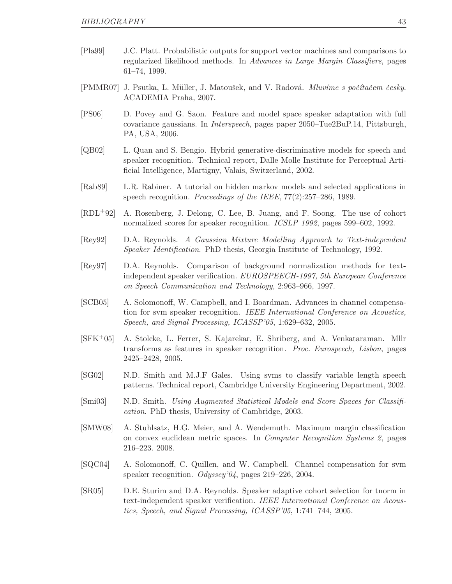- <span id="page-48-12"></span>[Pla99] J.C. Platt. Probabilistic outputs for support vector machines and comparisons to regularized likelihood methods. In Advances in Large Margin Classifiers, pages 61–74, 1999.
- <span id="page-48-3"></span> $[PMMR07]$  J. Psutka, L. Müller, J. Matoušek, and V. Radová. *Mluvíme s počítačem česky*. ACADEMIA Praha, 2007.
- <span id="page-48-4"></span>[PS06] D. Povey and G. Saon. Feature and model space speaker adaptation with full covariance gaussians. In Interspeech, pages paper 2050–Tue2BuP.14, Pittsburgh, PA, USA, 2006.
- <span id="page-48-14"></span>[QB02] L. Quan and S. Bengio. Hybrid generative-discriminative models for speech and speaker recognition. Technical report, Dalle Molle Institute for Perceptual Artificial Intelligence, Martigny, Valais, Switzerland, 2002.
- <span id="page-48-2"></span>[Rab89] L.R. Rabiner. A tutorial on hidden markov models and selected applications in speech recognition. Proceedings of the IEEE, 77(2):257–286, 1989.
- <span id="page-48-8"></span>[RDL+92] A. Rosenberg, J. Delong, C. Lee, B. Juang, and F. Soong. The use of cohort normalized scores for speaker recognition. *ICSLP 1992*, pages 599–602, 1992.
- <span id="page-48-1"></span>[Rey92] D.A. Reynolds. A Gaussian Mixture Modelling Approach to Text-independent Speaker Identification. PhD thesis, Georgia Institute of Technology, 1992.
- <span id="page-48-7"></span>[Rey97] D.A. Reynolds. Comparison of background normalization methods for textindependent speaker verification. EUROSPEECH-1997, 5th European Conference on Speech Communication and Technology, 2:963–966, 1997.
- <span id="page-48-11"></span>[SCB05] A. Solomonoff, W. Campbell, and I. Boardman. Advances in channel compensation for svm speaker recognition. IEEE International Conference on Acoustics, Speech, and Signal Processing, ICASSP'05, 1:629–632, 2005.
- <span id="page-48-5"></span>[SFK+05] A. Stolcke, L. Ferrer, S. Kajarekar, E. Shriberg, and A. Venkataraman. Mllr transforms as features in speaker recognition. Proc. Eurospeech, Lisbon, pages 2425–2428, 2005.
- <span id="page-48-6"></span>[SG02] N.D. Smith and M.J.F Gales. Using svms to classify variable length speech patterns. Technical report, Cambridge University Engineering Department, 2002.
- <span id="page-48-0"></span>[Smi03] N.D. Smith. Using Augmented Statistical Models and Score Spaces for Classification. PhD thesis, University of Cambridge, 2003.
- <span id="page-48-13"></span>[SMW08] A. Stuhlsatz, H.G. Meier, and A. Wendemuth. Maximum margin classification on convex euclidean metric spaces. In Computer Recognition Systems 2, pages 216–223. 2008.
- <span id="page-48-10"></span>[SQC04] A. Solomonoff, C. Quillen, and W. Campbell. Channel compensation for svm speaker recognition. Odyssey'04, pages  $219-226$ , 2004.
- <span id="page-48-9"></span>[SR05] D.E. Sturim and D.A. Reynolds. Speaker adaptive cohort selection for tnorm in text-independent speaker verification. IEEE International Conference on Acoustics, Speech, and Signal Processing, ICASSP'05, 1:741–744, 2005.